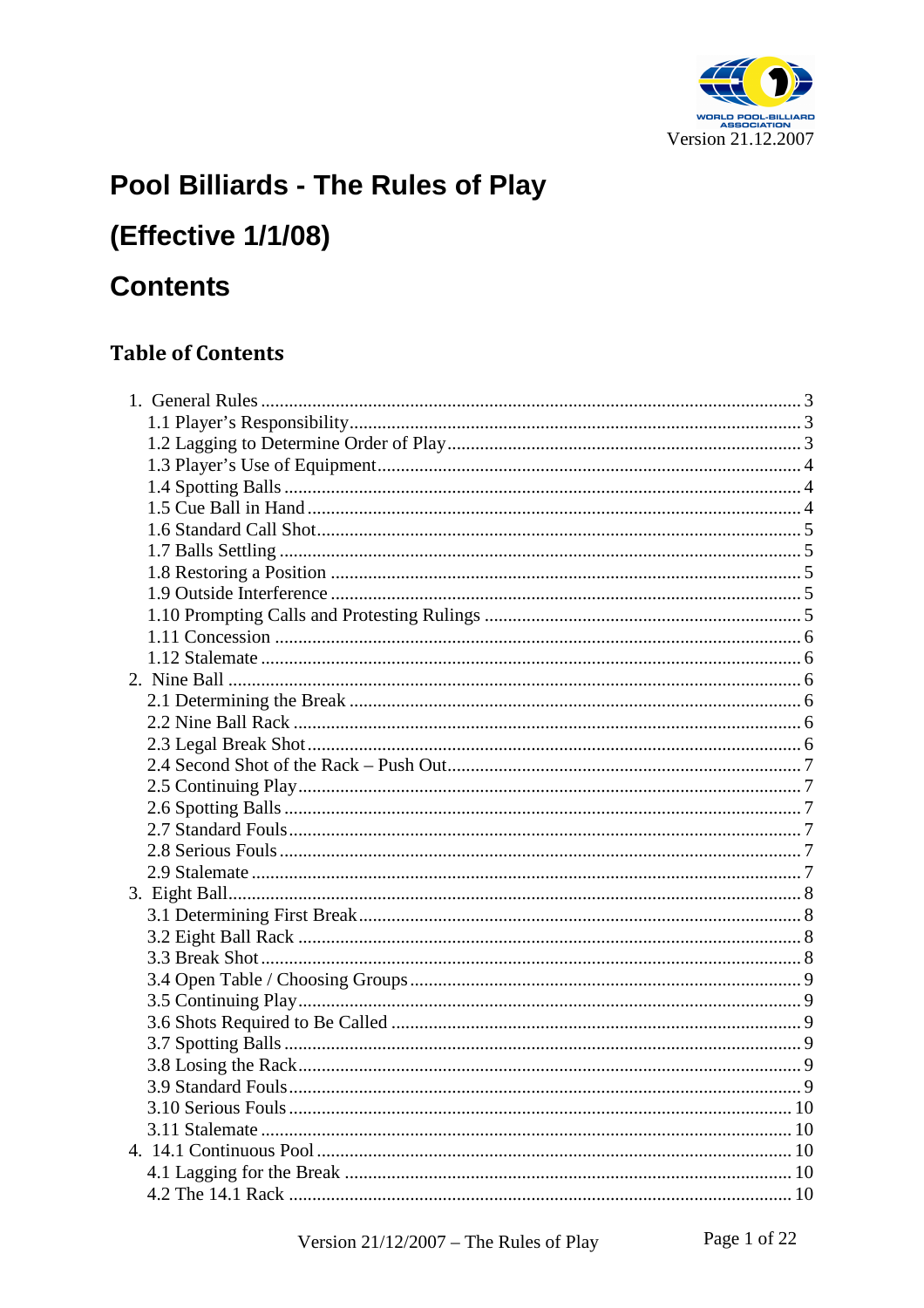

# Pool Billiards - The Rules of Play

# **(Effective 1/1/08)**

# **Contents**

# **Table of Contents**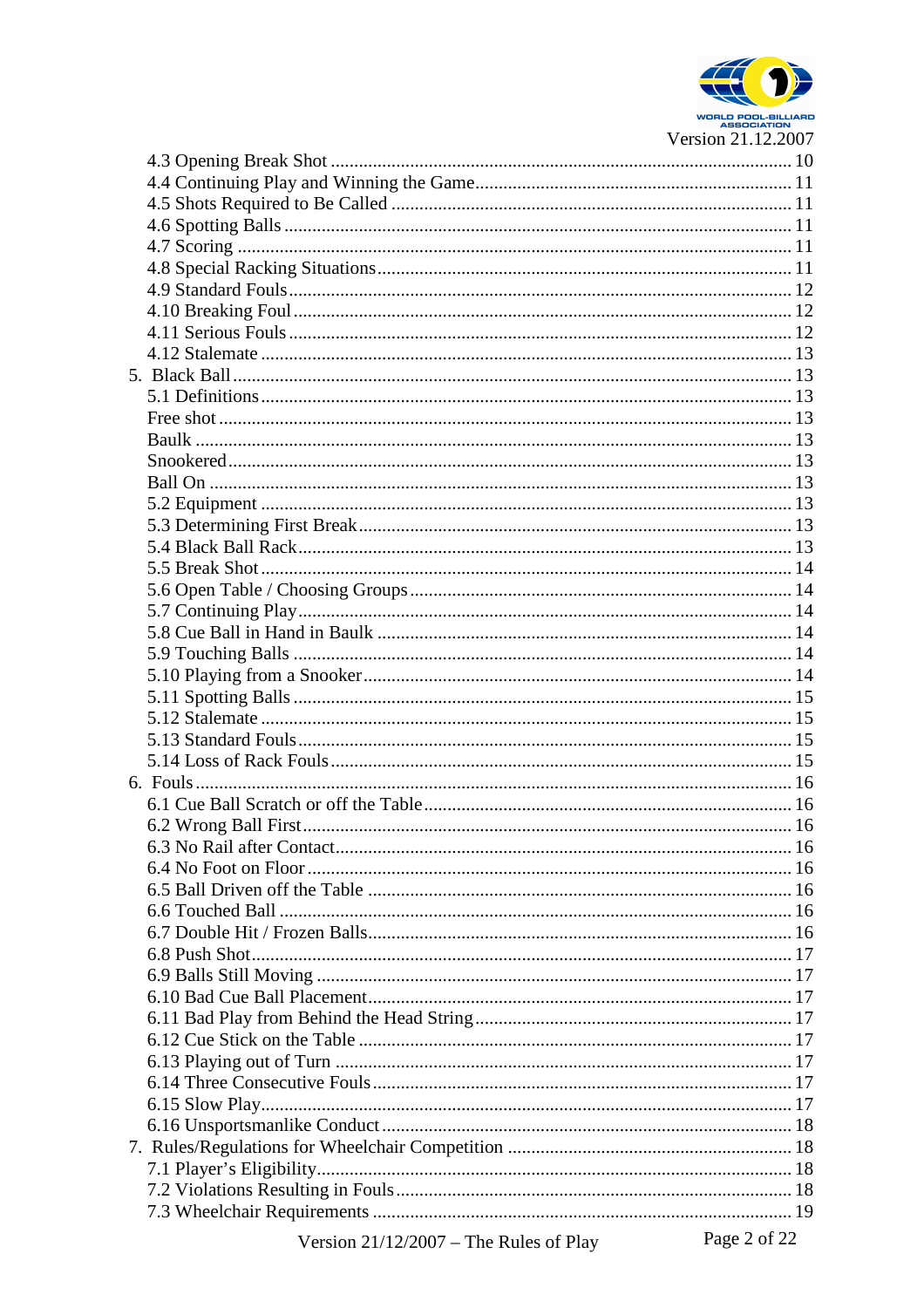

| Version 21.12.2007 |  |
|--------------------|--|
|                    |  |
|                    |  |
|                    |  |
|                    |  |
|                    |  |
|                    |  |
|                    |  |
|                    |  |
|                    |  |
|                    |  |
|                    |  |
|                    |  |
|                    |  |
|                    |  |
|                    |  |
|                    |  |
|                    |  |
|                    |  |
|                    |  |
|                    |  |
|                    |  |
|                    |  |
|                    |  |
|                    |  |
|                    |  |
|                    |  |
|                    |  |
|                    |  |
|                    |  |
|                    |  |
|                    |  |
|                    |  |
|                    |  |
|                    |  |
|                    |  |
|                    |  |
|                    |  |
|                    |  |
|                    |  |
|                    |  |
|                    |  |
|                    |  |
|                    |  |
|                    |  |
|                    |  |
|                    |  |
|                    |  |
|                    |  |
|                    |  |
|                    |  |
|                    |  |
|                    |  |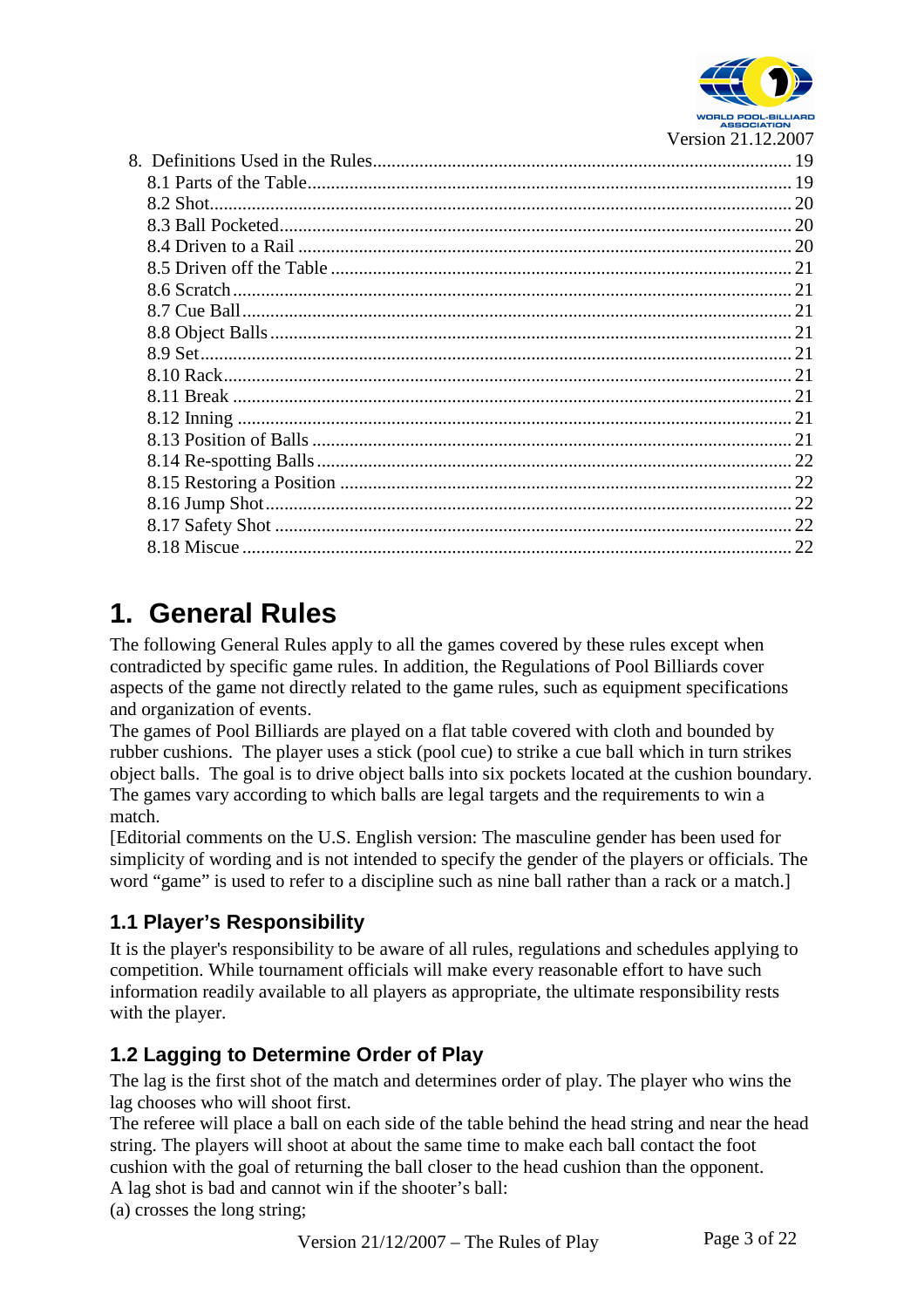

Version 21.12.2007 8. Definitions Used in the Rules .......................................................................................... 19 8.1 Parts of the Table ........................................................................................................ 19 8.2 Shot ............................................................................................................................. 20 8.3 Ball Pocketed .............................................................................................................. 20 8.4 Driven to a Rail .......................................................................................................... 20 8.5 Driven off the Table ................................................................................................... 21 8.6 Scratch ........................................................................................................................ 21 8.7 Cue Ball ...................................................................................................................... 21 8.8 Object Balls ................................................................................................................ 21 8.9 Set ............................................................................................................................... 21 8.10 Rack .......................................................................................................................... 21 8.11 Break ........................................................................................................................ 21 8.12 Inning ....................................................................................................................... 21 8.13 Position of Balls ....................................................................................................... 21 8.14 Re-spotting Balls ...................................................................................................... 22 8.15 Restoring a Position ................................................................................................. 22 8.16 Jump Shot ................................................................................................................. 22 8.17 Safety Shot ............................................................................................................... 22 8.18 Miscue ...................................................................................................................... 22

# **1. General Rules**

The following General Rules apply to all the games covered by these rules except when contradicted by specific game rules. In addition, the Regulations of Pool Billiards cover aspects of the game not directly related to the game rules, such as equipment specifications and organization of events.

The games of Pool Billiards are played on a flat table covered with cloth and bounded by rubber cushions. The player uses a stick (pool cue) to strike a cue ball which in turn strikes object balls. The goal is to drive object balls into six pockets located at the cushion boundary. The games vary according to which balls are legal targets and the requirements to win a match.

[Editorial comments on the U.S. English version: The masculine gender has been used for simplicity of wording and is not intended to specify the gender of the players or officials. The word "game" is used to refer to a discipline such as nine ball rather than a rack or a match.]

# **1.1 Player's Responsibility**

It is the player's responsibility to be aware of all rules, regulations and schedules applying to competition. While tournament officials will make every reasonable effort to have such information readily available to all players as appropriate, the ultimate responsibility rests with the player.

# **1.2 Lagging to Determine Order of Play**

The lag is the first shot of the match and determines order of play. The player who wins the lag chooses who will shoot first.

The referee will place a ball on each side of the table behind the head string and near the head string. The players will shoot at about the same time to make each ball contact the foot cushion with the goal of returning the ball closer to the head cushion than the opponent. A lag shot is bad and cannot win if the shooter's ball:

(a) crosses the long string;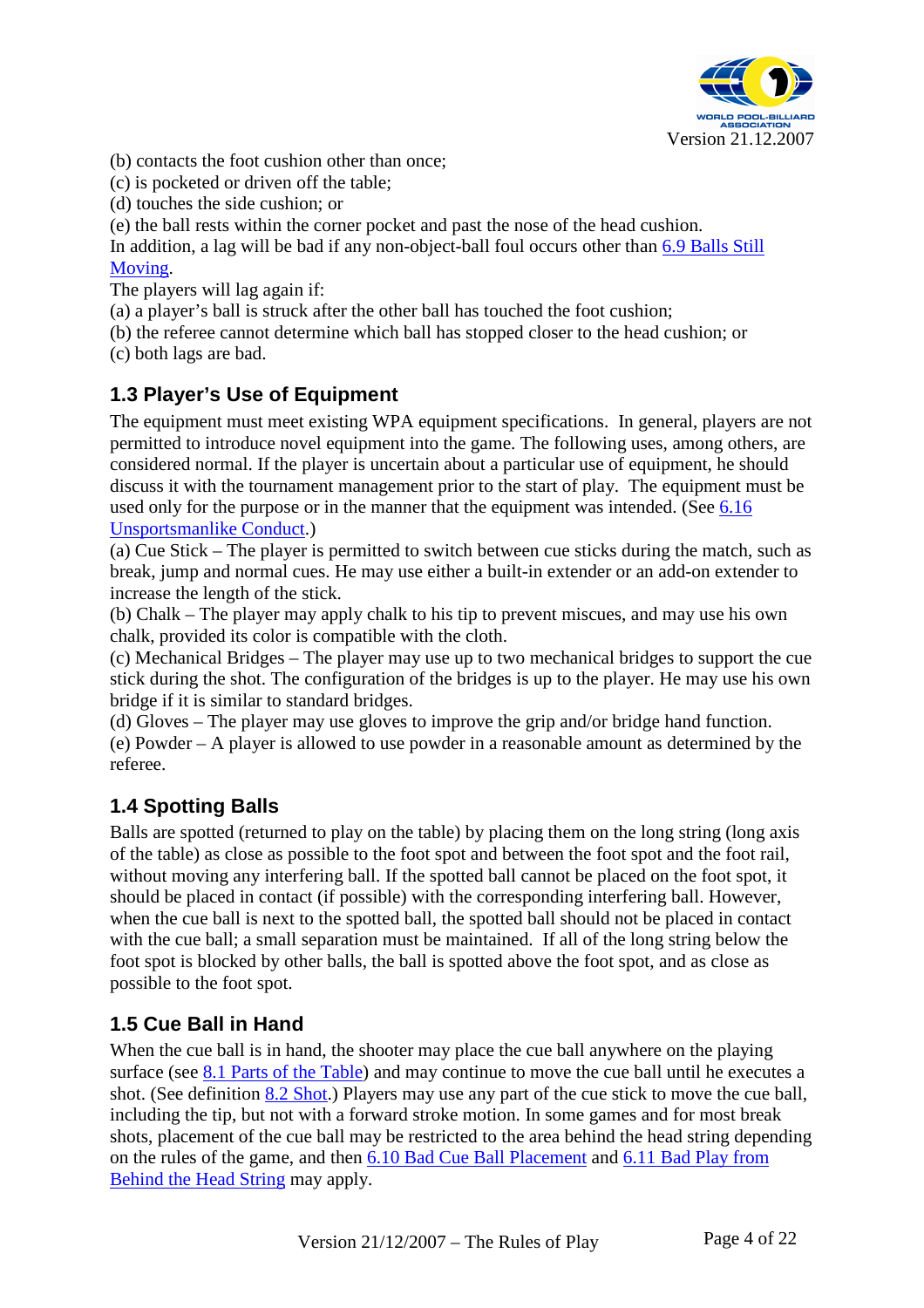

(b) contacts the foot cushion other than once;

(c) is pocketed or driven off the table;

(d) touches the side cushion; or

(e) the ball rests within the corner pocket and past the nose of the head cushion.

In addition, a lag will be bad if any non-object-ball foul occurs other than 6.9 Balls Still Moving.

The players will lag again if:

(a) a player's ball is struck after the other ball has touched the foot cushion;

(b) the referee cannot determine which ball has stopped closer to the head cushion; or

(c) both lags are bad.

### **1.3 Player's Use of Equipment**

The equipment must meet existing WPA equipment specifications. In general, players are not permitted to introduce novel equipment into the game. The following uses, among others, are considered normal. If the player is uncertain about a particular use of equipment, he should discuss it with the tournament management prior to the start of play. The equipment must be used only for the purpose or in the manner that the equipment was intended. (See 6.16 Unsportsmanlike Conduct.)

(a) Cue Stick – The player is permitted to switch between cue sticks during the match, such as break, jump and normal cues. He may use either a built-in extender or an add-on extender to increase the length of the stick.

(b) Chalk – The player may apply chalk to his tip to prevent miscues, and may use his own chalk, provided its color is compatible with the cloth.

(c) Mechanical Bridges – The player may use up to two mechanical bridges to support the cue stick during the shot. The configuration of the bridges is up to the player. He may use his own bridge if it is similar to standard bridges.

(d) Gloves – The player may use gloves to improve the grip and/or bridge hand function. (e) Powder – A player is allowed to use powder in a reasonable amount as determined by the referee.

### **1.4 Spotting Balls**

Balls are spotted (returned to play on the table) by placing them on the long string (long axis of the table) as close as possible to the foot spot and between the foot spot and the foot rail, without moving any interfering ball. If the spotted ball cannot be placed on the foot spot, it should be placed in contact (if possible) with the corresponding interfering ball. However, when the cue ball is next to the spotted ball, the spotted ball should not be placed in contact with the cue ball; a small separation must be maintained. If all of the long string below the foot spot is blocked by other balls, the ball is spotted above the foot spot, and as close as possible to the foot spot.

### **1.5 Cue Ball in Hand**

When the cue ball is in hand, the shooter may place the cue ball anywhere on the playing surface (see 8.1 Parts of the Table) and may continue to move the cue ball until he executes a shot. (See definition 8.2 Shot.) Players may use any part of the cue stick to move the cue ball, including the tip, but not with a forward stroke motion. In some games and for most break shots, placement of the cue ball may be restricted to the area behind the head string depending on the rules of the game, and then 6.10 Bad Cue Ball Placement and 6.11 Bad Play from Behind the Head String may apply.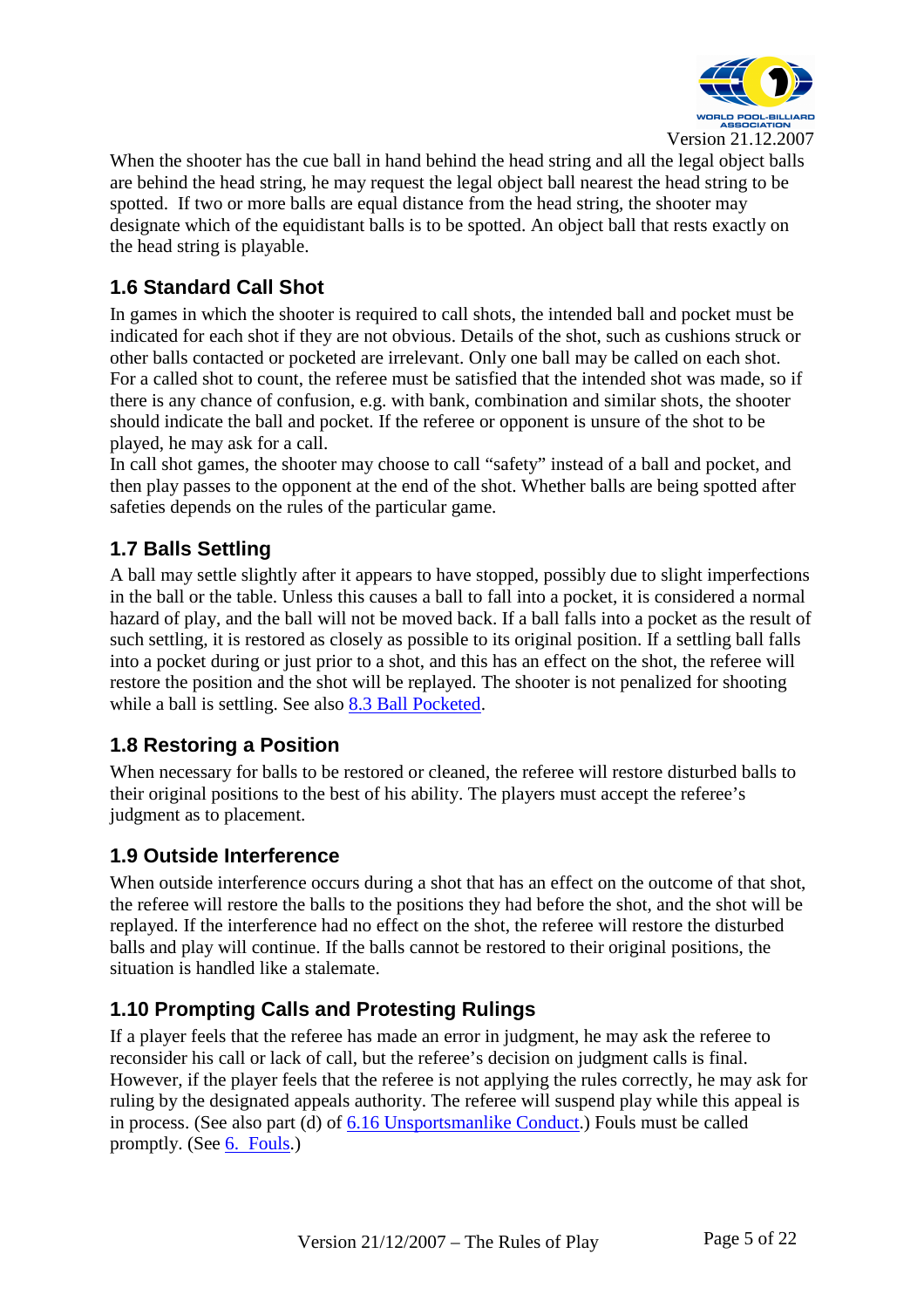

When the shooter has the cue ball in hand behind the head string and all the legal object balls are behind the head string, he may request the legal object ball nearest the head string to be spotted. If two or more balls are equal distance from the head string, the shooter may designate which of the equidistant balls is to be spotted. An object ball that rests exactly on the head string is playable.

## **1.6 Standard Call Shot**

In games in which the shooter is required to call shots, the intended ball and pocket must be indicated for each shot if they are not obvious. Details of the shot, such as cushions struck or other balls contacted or pocketed are irrelevant. Only one ball may be called on each shot. For a called shot to count, the referee must be satisfied that the intended shot was made, so if there is any chance of confusion, e.g. with bank, combination and similar shots, the shooter should indicate the ball and pocket. If the referee or opponent is unsure of the shot to be played, he may ask for a call.

In call shot games, the shooter may choose to call "safety" instead of a ball and pocket, and then play passes to the opponent at the end of the shot. Whether balls are being spotted after safeties depends on the rules of the particular game.

### **1.7 Balls Settling**

A ball may settle slightly after it appears to have stopped, possibly due to slight imperfections in the ball or the table. Unless this causes a ball to fall into a pocket, it is considered a normal hazard of play, and the ball will not be moved back. If a ball falls into a pocket as the result of such settling, it is restored as closely as possible to its original position. If a settling ball falls into a pocket during or just prior to a shot, and this has an effect on the shot, the referee will restore the position and the shot will be replayed. The shooter is not penalized for shooting while a ball is settling. See also 8.3 Ball Pocketed.

# **1.8 Restoring a Position**

When necessary for balls to be restored or cleaned, the referee will restore disturbed balls to their original positions to the best of his ability. The players must accept the referee's judgment as to placement.

### **1.9 Outside Interference**

When outside interference occurs during a shot that has an effect on the outcome of that shot, the referee will restore the balls to the positions they had before the shot, and the shot will be replayed. If the interference had no effect on the shot, the referee will restore the disturbed balls and play will continue. If the balls cannot be restored to their original positions, the situation is handled like a stalemate.

### **1.10 Prompting Calls and Protesting Rulings**

If a player feels that the referee has made an error in judgment, he may ask the referee to reconsider his call or lack of call, but the referee's decision on judgment calls is final. However, if the player feels that the referee is not applying the rules correctly, he may ask for ruling by the designated appeals authority. The referee will suspend play while this appeal is in process. (See also part (d) of 6.16 Unsportsmanlike Conduct.) Fouls must be called promptly. (See 6. Fouls.)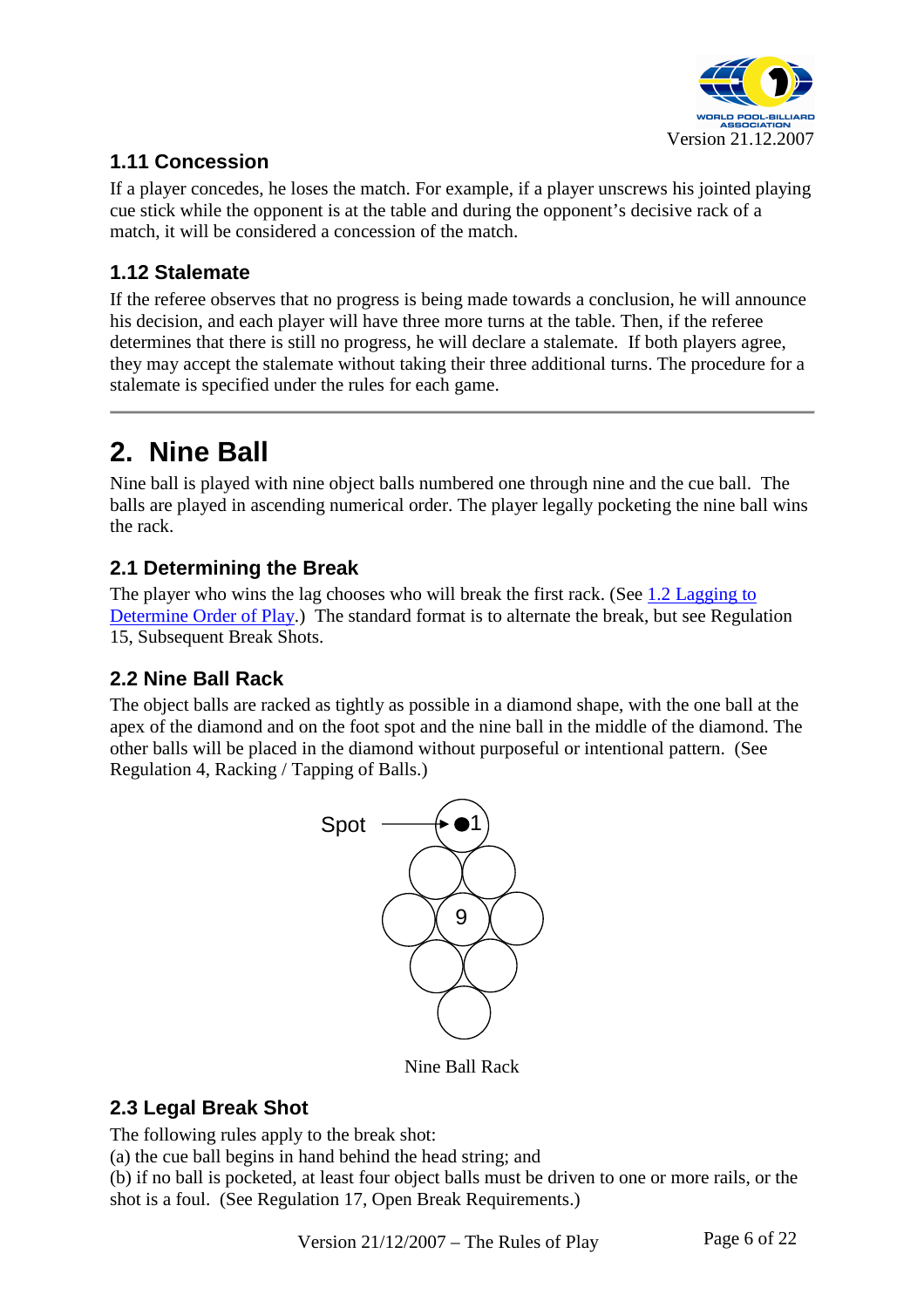

# **1.11 Concession**

If a player concedes, he loses the match. For example, if a player unscrews his jointed playing cue stick while the opponent is at the table and during the opponent's decisive rack of a match, it will be considered a concession of the match.

## **1.12 Stalemate**

If the referee observes that no progress is being made towards a conclusion, he will announce his decision, and each player will have three more turns at the table. Then, if the referee determines that there is still no progress, he will declare a stalemate. If both players agree, they may accept the stalemate without taking their three additional turns. The procedure for a stalemate is specified under the rules for each game.

# **2. Nine Ball**

Nine ball is played with nine object balls numbered one through nine and the cue ball. The balls are played in ascending numerical order. The player legally pocketing the nine ball wins the rack.

### **2.1 Determining the Break**

The player who wins the lag chooses who will break the first rack. (See  $1.2$  Lagging to Determine Order of Play.) The standard format is to alternate the break, but see Regulation 15, Subsequent Break Shots.

# **2.2 Nine Ball Rack**

The object balls are racked as tightly as possible in a diamond shape, with the one ball at the apex of the diamond and on the foot spot and the nine ball in the middle of the diamond. The other balls will be placed in the diamond without purposeful or intentional pattern. (See Regulation 4, Racking / Tapping of Balls.)



Nine Ball Rack

# **2.3 Legal Break Shot**

The following rules apply to the break shot:

(a) the cue ball begins in hand behind the head string; and

(b) if no ball is pocketed, at least four object balls must be driven to one or more rails, or the shot is a foul. (See Regulation 17, Open Break Requirements.)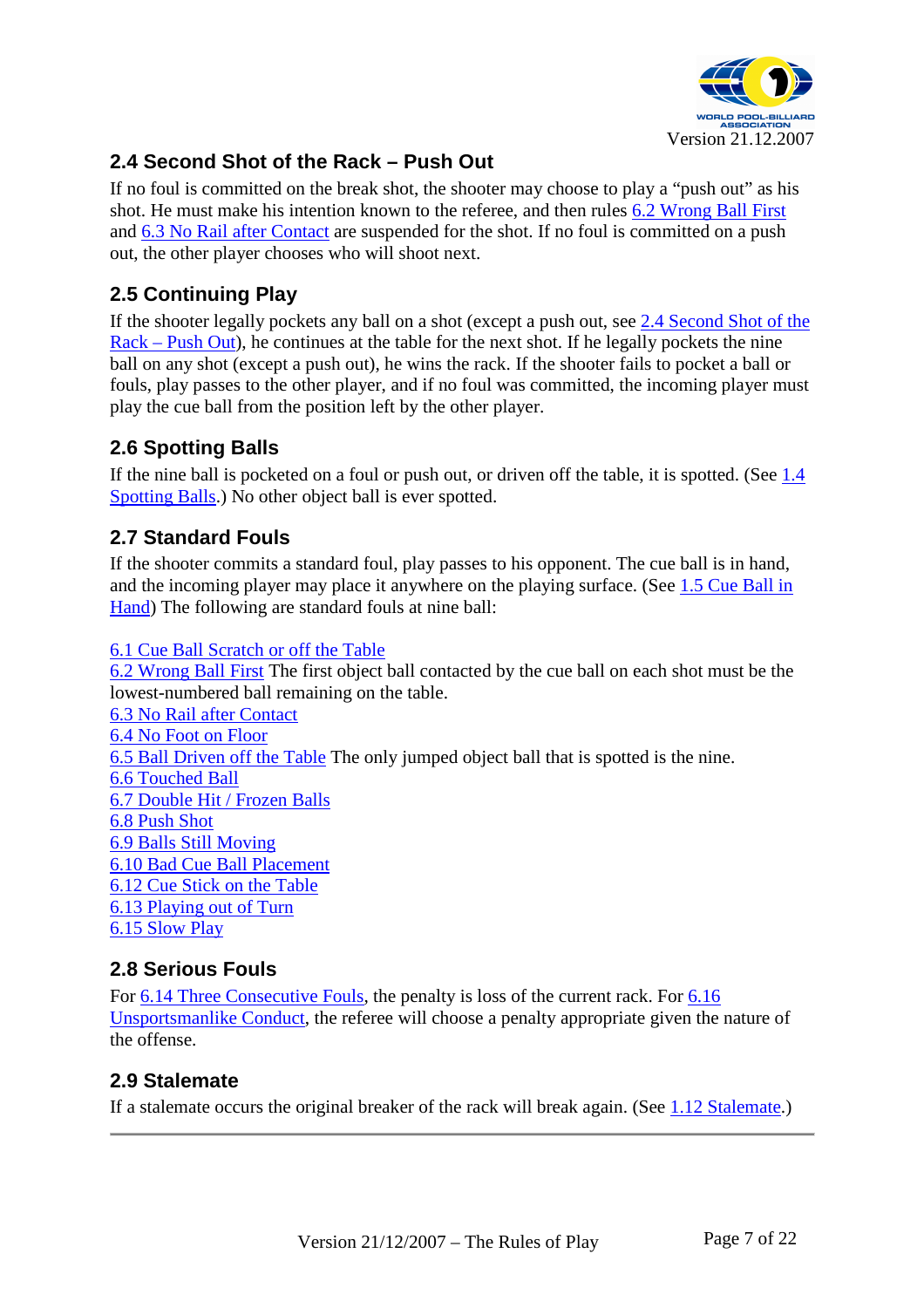

## **2.4 Second Shot of the Rack – Push Out**

If no foul is committed on the break shot, the shooter may choose to play a "push out" as his shot. He must make his intention known to the referee, and then rules 6.2 Wrong Ball First and 6.3 No Rail after Contact are suspended for the shot. If no foul is committed on a push out, the other player chooses who will shoot next.

### **2.5 Continuing Play**

If the shooter legally pockets any ball on a shot (except a push out, see 2.4 Second Shot of the Rack – Push Out), he continues at the table for the next shot. If he legally pockets the nine ball on any shot (except a push out), he wins the rack. If the shooter fails to pocket a ball or fouls, play passes to the other player, and if no foul was committed, the incoming player must play the cue ball from the position left by the other player.

### **2.6 Spotting Balls**

If the nine ball is pocketed on a foul or push out, or driven off the table, it is spotted. (See  $1.4$ Spotting Balls.) No other object ball is ever spotted.

### **2.7 Standard Fouls**

If the shooter commits a standard foul, play passes to his opponent. The cue ball is in hand, and the incoming player may place it anywhere on the playing surface. (See 1.5 Cue Ball in Hand) The following are standard fouls at nine ball:

#### 6.1 Cue Ball Scratch or off the Table

6.2 Wrong Ball First The first object ball contacted by the cue ball on each shot must be the lowest-numbered ball remaining on the table.

6.3 No Rail after Contact 6.4 No Foot on Floor 6.5 Ball Driven off the Table The only jumped object ball that is spotted is the nine. 6.6 Touched Ball 6.7 Double Hit / Frozen Balls 6.8 Push Shot 6.9 Balls Still Moving 6.10 Bad Cue Ball Placement 6.12 Cue Stick on the Table 6.13 Playing out of Turn 6.15 Slow Play

### **2.8 Serious Fouls**

For 6.14 Three Consecutive Fouls, the penalty is loss of the current rack. For 6.16 Unsportsmanlike Conduct, the referee will choose a penalty appropriate given the nature of the offense.

### **2.9 Stalemate**

If a stalemate occurs the original breaker of the rack will break again. (See 1.12 Stalemate.)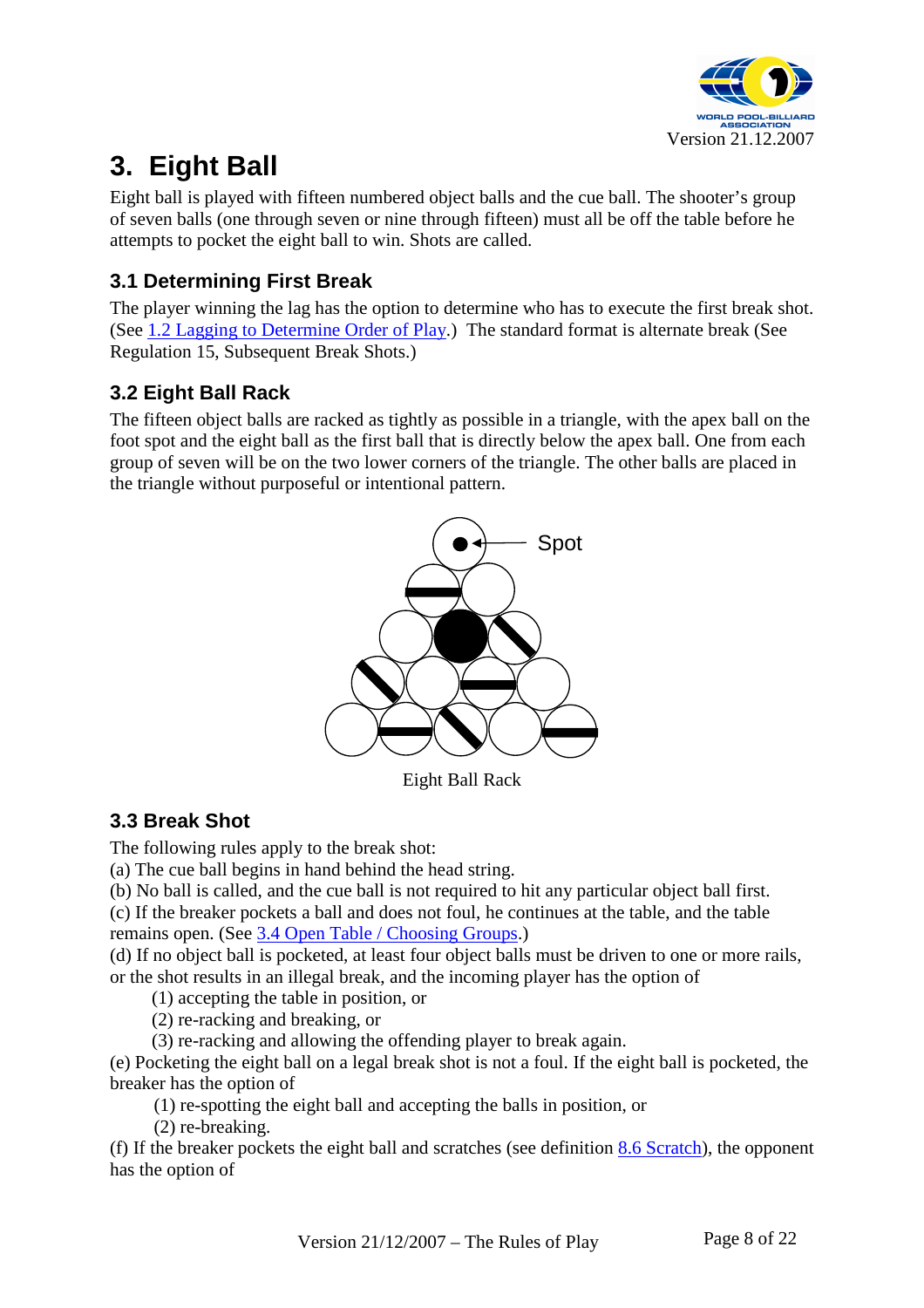

# **3. Eight Ball**

Eight ball is played with fifteen numbered object balls and the cue ball. The shooter's group of seven balls (one through seven or nine through fifteen) must all be off the table before he attempts to pocket the eight ball to win. Shots are called.

# **3.1 Determining First Break**

The player winning the lag has the option to determine who has to execute the first break shot. (See 1.2 Lagging to Determine Order of Play.) The standard format is alternate break (See Regulation 15, Subsequent Break Shots.)

# **3.2 Eight Ball Rack**

The fifteen object balls are racked as tightly as possible in a triangle, with the apex ball on the foot spot and the eight ball as the first ball that is directly below the apex ball. One from each group of seven will be on the two lower corners of the triangle. The other balls are placed in the triangle without purposeful or intentional pattern.



Eight Ball Rack

# **3.3 Break Shot**

The following rules apply to the break shot:

(a) The cue ball begins in hand behind the head string.

(b) No ball is called, and the cue ball is not required to hit any particular object ball first.

(c) If the breaker pockets a ball and does not foul, he continues at the table, and the table remains open. (See 3.4 Open Table / Choosing Groups.)

(d) If no object ball is pocketed, at least four object balls must be driven to one or more rails, or the shot results in an illegal break, and the incoming player has the option of

(1) accepting the table in position, or

(2) re-racking and breaking, or

(3) re-racking and allowing the offending player to break again.

(e) Pocketing the eight ball on a legal break shot is not a foul. If the eight ball is pocketed, the breaker has the option of

(1) re-spotting the eight ball and accepting the balls in position, or

(2) re-breaking.

(f) If the breaker pockets the eight ball and scratches (see definition 8.6 Scratch), the opponent has the option of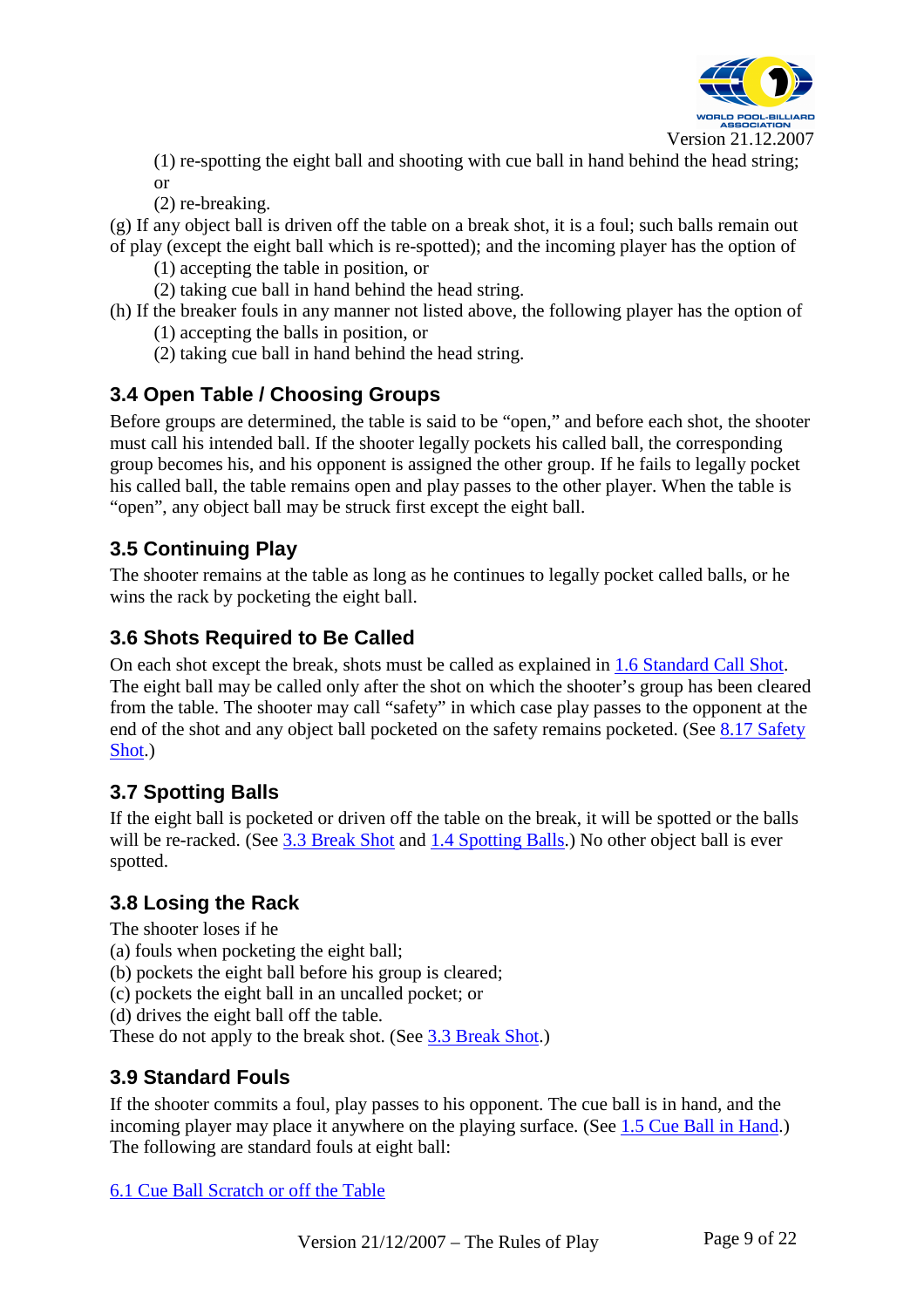

(1) re-spotting the eight ball and shooting with cue ball in hand behind the head string; or

(2) re-breaking.

(g) If any object ball is driven off the table on a break shot, it is a foul; such balls remain out of play (except the eight ball which is re-spotted); and the incoming player has the option of

(1) accepting the table in position, or

(2) taking cue ball in hand behind the head string.

- (h) If the breaker fouls in any manner not listed above, the following player has the option of (1) accepting the balls in position, or
	- (2) taking cue ball in hand behind the head string.

# **3.4 Open Table / Choosing Groups**

Before groups are determined, the table is said to be "open," and before each shot, the shooter must call his intended ball. If the shooter legally pockets his called ball, the corresponding group becomes his, and his opponent is assigned the other group. If he fails to legally pocket his called ball, the table remains open and play passes to the other player. When the table is "open", any object ball may be struck first except the eight ball.

### **3.5 Continuing Play**

The shooter remains at the table as long as he continues to legally pocket called balls, or he wins the rack by pocketing the eight ball.

# **3.6 Shots Required to Be Called**

On each shot except the break, shots must be called as explained in 1.6 Standard Call Shot. The eight ball may be called only after the shot on which the shooter's group has been cleared from the table. The shooter may call "safety" in which case play passes to the opponent at the end of the shot and any object ball pocketed on the safety remains pocketed. (See 8.17 Safety Shot.)

### **3.7 Spotting Balls**

If the eight ball is pocketed or driven off the table on the break, it will be spotted or the balls will be re-racked. (See 3.3 Break Shot and 1.4 Spotting Balls.) No other object ball is ever spotted.

### **3.8 Losing the Rack**

The shooter loses if he

- (a) fouls when pocketing the eight ball;
- (b) pockets the eight ball before his group is cleared;
- (c) pockets the eight ball in an uncalled pocket; or
- (d) drives the eight ball off the table.

These do not apply to the break shot. (See 3.3 Break Shot.)

# **3.9 Standard Fouls**

If the shooter commits a foul, play passes to his opponent. The cue ball is in hand, and the incoming player may place it anywhere on the playing surface. (See 1.5 Cue Ball in Hand.) The following are standard fouls at eight ball:

6.1 Cue Ball Scratch or off the Table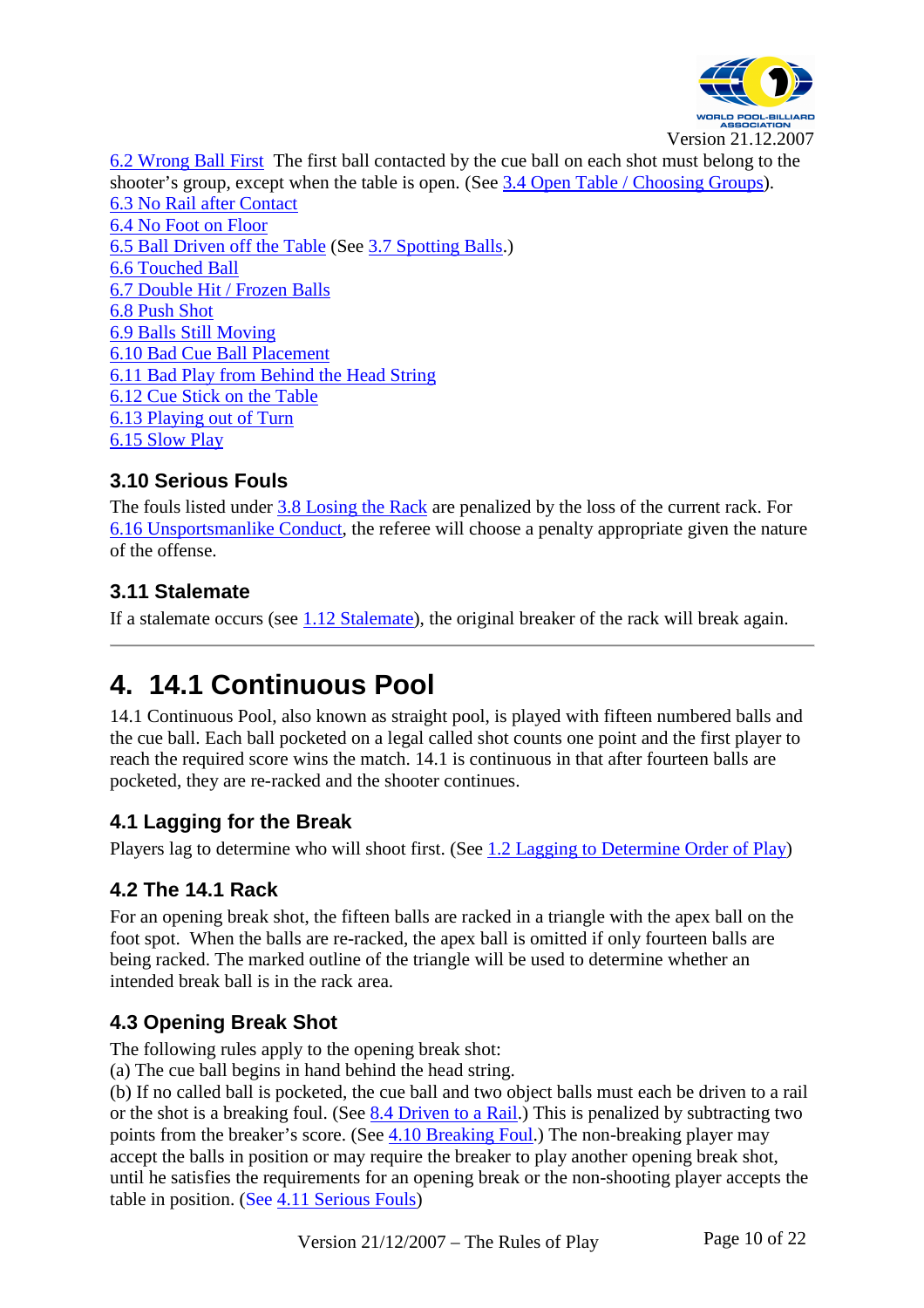

6.2 Wrong Ball First The first ball contacted by the cue ball on each shot must belong to the shooter's group, except when the table is open. (See 3.4 Open Table / Choosing Groups). 6.3 No Rail after Contact 6.4 No Foot on Floor 6.5 Ball Driven off the Table (See 3.7 Spotting Balls.) 6.6 Touched Ball 6.7 Double Hit / Frozen Balls 6.8 Push Shot 6.9 Balls Still Moving 6.10 Bad Cue Ball Placement 6.11 Bad Play from Behind the Head String 6.12 Cue Stick on the Table 6.13 Playing out of Turn 6.15 Slow Play

# **3.10 Serious Fouls**

The fouls listed under 3.8 Losing the Rack are penalized by the loss of the current rack. For 6.16 Unsportsmanlike Conduct, the referee will choose a penalty appropriate given the nature of the offense.

### **3.11 Stalemate**

If a stalemate occurs (see 1.12 Stalemate), the original breaker of the rack will break again.

# **4. 14.1 Continuous Pool**

14.1 Continuous Pool, also known as straight pool, is played with fifteen numbered balls and the cue ball. Each ball pocketed on a legal called shot counts one point and the first player to reach the required score wins the match. 14.1 is continuous in that after fourteen balls are pocketed, they are re-racked and the shooter continues.

# **4.1 Lagging for the Break**

Players lag to determine who will shoot first. (See 1.2 Lagging to Determine Order of Play)

### **4.2 The 14.1 Rack**

For an opening break shot, the fifteen balls are racked in a triangle with the apex ball on the foot spot. When the balls are re-racked, the apex ball is omitted if only fourteen balls are being racked. The marked outline of the triangle will be used to determine whether an intended break ball is in the rack area.

# **4.3 Opening Break Shot**

The following rules apply to the opening break shot:

(a) The cue ball begins in hand behind the head string.

(b) If no called ball is pocketed, the cue ball and two object balls must each be driven to a rail or the shot is a breaking foul. (See 8.4 Driven to a Rail.) This is penalized by subtracting two points from the breaker's score. (See 4.10 Breaking Foul.) The non-breaking player may accept the balls in position or may require the breaker to play another opening break shot, until he satisfies the requirements for an opening break or the non-shooting player accepts the table in position. (See 4.11 Serious Fouls)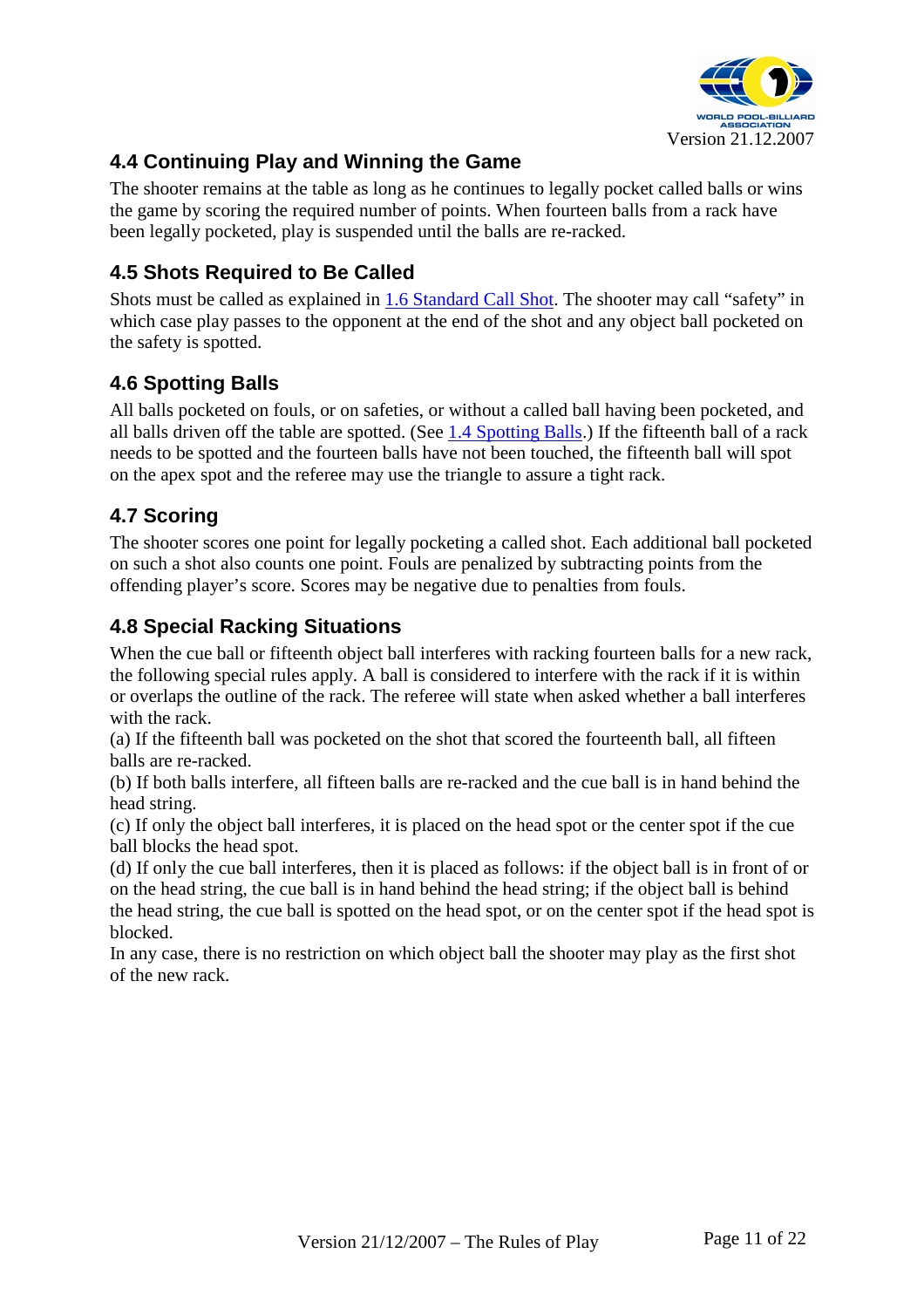

# **4.4 Continuing Play and Winning the Game**

The shooter remains at the table as long as he continues to legally pocket called balls or wins the game by scoring the required number of points. When fourteen balls from a rack have been legally pocketed, play is suspended until the balls are re-racked.

# **4.5 Shots Required to Be Called**

Shots must be called as explained in 1.6 Standard Call Shot. The shooter may call "safety" in which case play passes to the opponent at the end of the shot and any object ball pocketed on the safety is spotted.

# **4.6 Spotting Balls**

All balls pocketed on fouls, or on safeties, or without a called ball having been pocketed, and all balls driven off the table are spotted. (See 1.4 Spotting Balls.) If the fifteenth ball of a rack needs to be spotted and the fourteen balls have not been touched, the fifteenth ball will spot on the apex spot and the referee may use the triangle to assure a tight rack.

# **4.7 Scoring**

The shooter scores one point for legally pocketing a called shot. Each additional ball pocketed on such a shot also counts one point. Fouls are penalized by subtracting points from the offending player's score. Scores may be negative due to penalties from fouls.

### **4.8 Special Racking Situations**

When the cue ball or fifteenth object ball interferes with racking fourteen balls for a new rack, the following special rules apply. A ball is considered to interfere with the rack if it is within or overlaps the outline of the rack. The referee will state when asked whether a ball interferes with the rack.

(a) If the fifteenth ball was pocketed on the shot that scored the fourteenth ball, all fifteen balls are re-racked.

(b) If both balls interfere, all fifteen balls are re-racked and the cue ball is in hand behind the head string.

(c) If only the object ball interferes, it is placed on the head spot or the center spot if the cue ball blocks the head spot.

(d) If only the cue ball interferes, then it is placed as follows: if the object ball is in front of or on the head string, the cue ball is in hand behind the head string; if the object ball is behind the head string, the cue ball is spotted on the head spot, or on the center spot if the head spot is blocked.

In any case, there is no restriction on which object ball the shooter may play as the first shot of the new rack.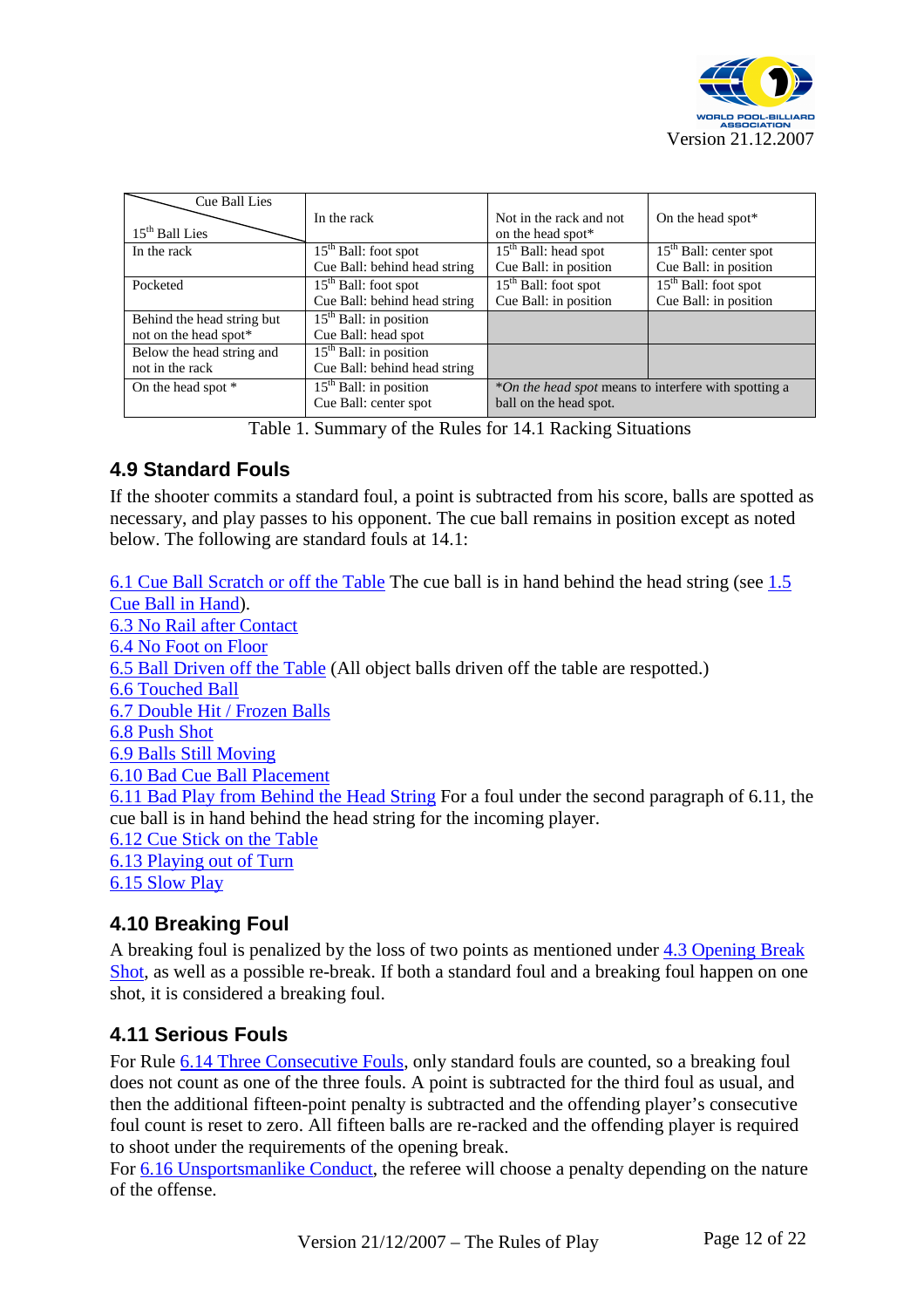

| Cue Ball Lies<br>15 <sup>th</sup> Ball Lies | In the rack                  | Not in the rack and not<br>on the head spot*         | On the head spot*        |
|---------------------------------------------|------------------------------|------------------------------------------------------|--------------------------|
| In the rack                                 | $15th$ Ball: foot spot       | $15th$ Ball: head spot                               | $15th$ Ball: center spot |
|                                             | Cue Ball: behind head string | Cue Ball: in position                                | Cue Ball: in position    |
| Pocketed                                    | $15th$ Ball: foot spot       | $15th$ Ball: foot spot                               | $15th$ Ball: foot spot   |
|                                             | Cue Ball: behind head string | Cue Ball: in position                                | Cue Ball: in position    |
| Behind the head string but                  | $15th$ Ball: in position     |                                                      |                          |
| not on the head spot*                       | Cue Ball: head spot          |                                                      |                          |
| Below the head string and                   | $15th$ Ball: in position     |                                                      |                          |
| not in the rack                             | Cue Ball: behind head string |                                                      |                          |
| On the head spot *                          | $15th$ Ball: in position     | *On the head spot means to interfere with spotting a |                          |
|                                             | Cue Ball: center spot        | ball on the head spot.                               |                          |

Table 1. Summary of the Rules for 14.1 Racking Situations

### **4.9 Standard Fouls**

If the shooter commits a standard foul, a point is subtracted from his score, balls are spotted as necessary, and play passes to his opponent. The cue ball remains in position except as noted below. The following are standard fouls at 14.1:

6.1 Cue Ball Scratch or off the Table The cue ball is in hand behind the head string (see 1.5 Cue Ball in Hand). 6.3 No Rail after Contact 6.4 No Foot on Floor 6.5 Ball Driven off the Table (All object balls driven off the table are respotted.) 6.6 Touched Ball 6.7 Double Hit / Frozen Balls 6.8 Push Shot 6.9 Balls Still Moving 6.10 Bad Cue Ball Placement 6.11 Bad Play from Behind the Head String For a foul under the second paragraph of 6.11, the cue ball is in hand behind the head string for the incoming player. 6.12 Cue Stick on the Table 6.13 Playing out of Turn 6.15 Slow Play

### **4.10 Breaking Foul**

A breaking foul is penalized by the loss of two points as mentioned under 4.3 Opening Break Shot, as well as a possible re-break. If both a standard foul and a breaking foul happen on one shot, it is considered a breaking foul.

#### **4.11 Serious Fouls**

For Rule 6.14 Three Consecutive Fouls, only standard fouls are counted, so a breaking foul does not count as one of the three fouls. A point is subtracted for the third foul as usual, and then the additional fifteen-point penalty is subtracted and the offending player's consecutive foul count is reset to zero. All fifteen balls are re-racked and the offending player is required to shoot under the requirements of the opening break.

For 6.16 Unsportsmanlike Conduct, the referee will choose a penalty depending on the nature of the offense.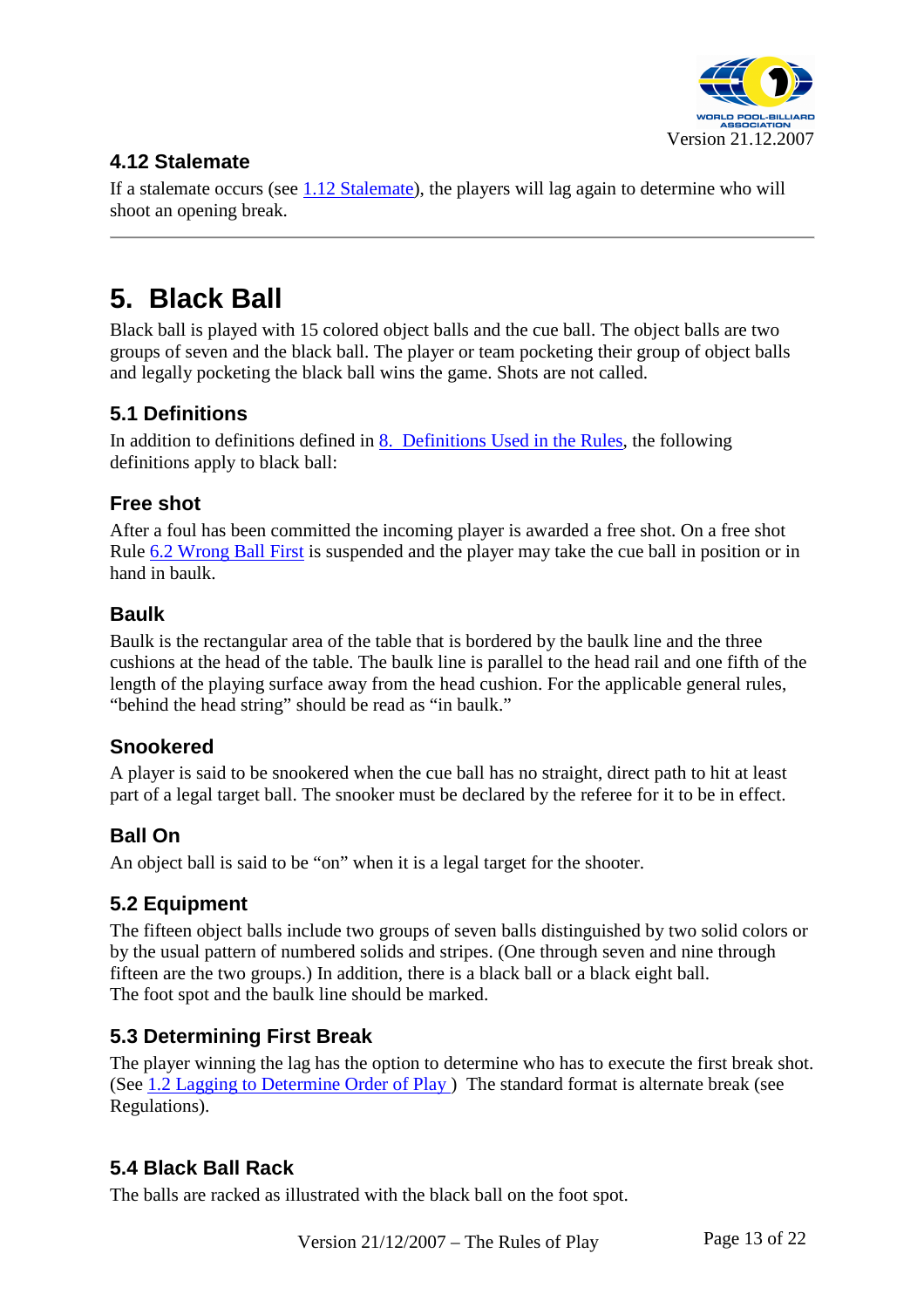

# **4.12 Stalemate**

If a stalemate occurs (see 1.12 Stalemate), the players will lag again to determine who will shoot an opening break.

# **5. Black Ball**

Black ball is played with 15 colored object balls and the cue ball. The object balls are two groups of seven and the black ball. The player or team pocketing their group of object balls and legally pocketing the black ball wins the game. Shots are not called.

# **5.1 Definitions**

In addition to definitions defined in 8. Definitions Used in the Rules, the following definitions apply to black ball:

# **Free shot**

After a foul has been committed the incoming player is awarded a free shot. On a free shot Rule 6.2 Wrong Ball First is suspended and the player may take the cue ball in position or in hand in baulk.

# **Baulk**

Baulk is the rectangular area of the table that is bordered by the baulk line and the three cushions at the head of the table. The baulk line is parallel to the head rail and one fifth of the length of the playing surface away from the head cushion. For the applicable general rules, "behind the head string" should be read as "in baulk."

# **Snookered**

A player is said to be snookered when the cue ball has no straight, direct path to hit at least part of a legal target ball. The snooker must be declared by the referee for it to be in effect.

# **Ball On**

An object ball is said to be "on" when it is a legal target for the shooter.

# **5.2 Equipment**

The fifteen object balls include two groups of seven balls distinguished by two solid colors or by the usual pattern of numbered solids and stripes. (One through seven and nine through fifteen are the two groups.) In addition, there is a black ball or a black eight ball. The foot spot and the baulk line should be marked.

# **5.3 Determining First Break**

The player winning the lag has the option to determine who has to execute the first break shot. (See 1.2 Lagging to Determine Order of Play ) The standard format is alternate break (see Regulations).

# **5.4 Black Ball Rack**

The balls are racked as illustrated with the black ball on the foot spot.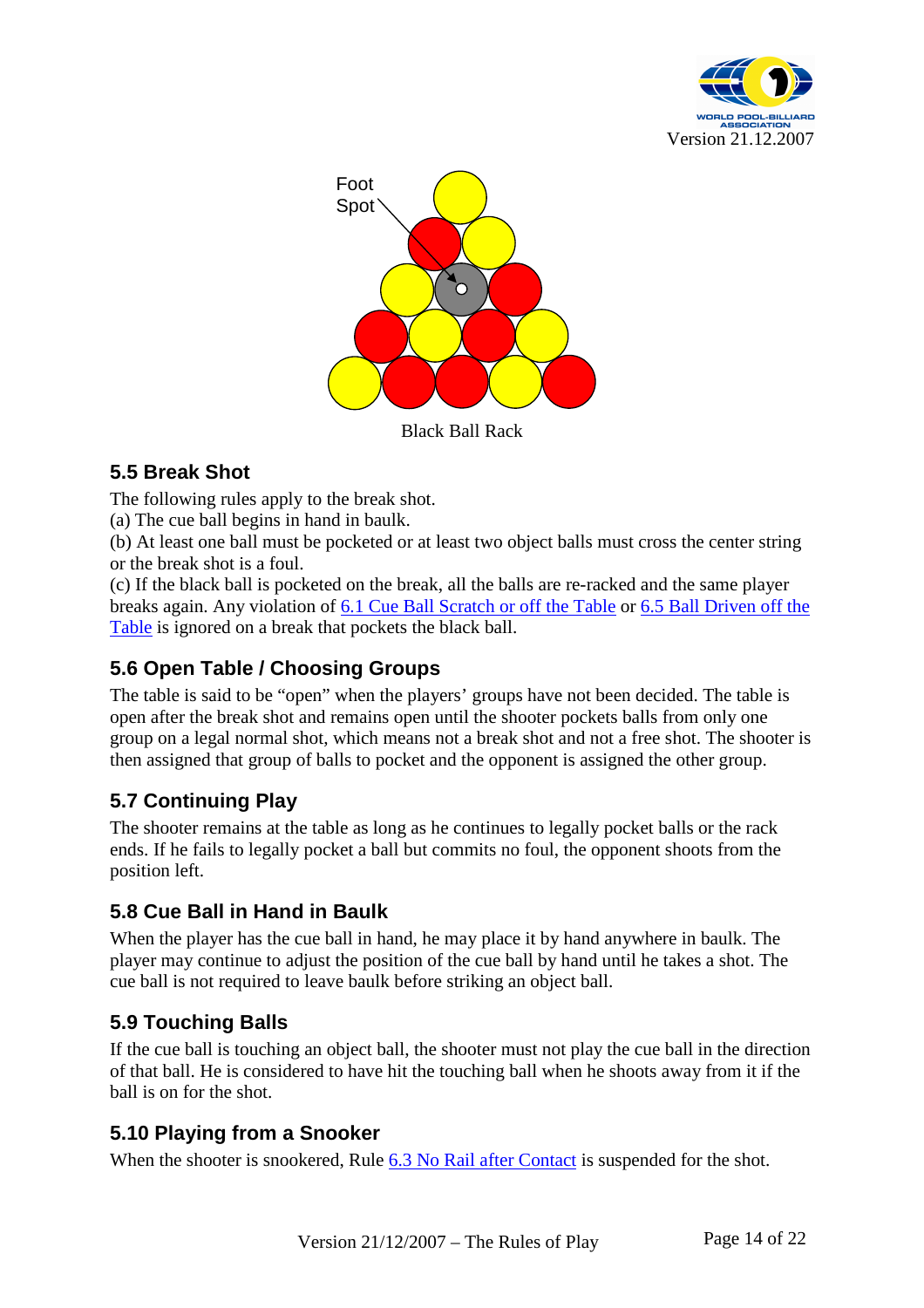



#### Black Ball Rack

### **5.5 Break Shot**

The following rules apply to the break shot.

(a) The cue ball begins in hand in baulk.

(b) At least one ball must be pocketed or at least two object balls must cross the center string or the break shot is a foul.

(c) If the black ball is pocketed on the break, all the balls are re-racked and the same player breaks again. Any violation of 6.1 Cue Ball Scratch or off the Table or 6.5 Ball Driven off the Table is ignored on a break that pockets the black ball.

# **5.6 Open Table / Choosing Groups**

The table is said to be "open" when the players' groups have not been decided. The table is open after the break shot and remains open until the shooter pockets balls from only one group on a legal normal shot, which means not a break shot and not a free shot. The shooter is then assigned that group of balls to pocket and the opponent is assigned the other group.

# **5.7 Continuing Play**

The shooter remains at the table as long as he continues to legally pocket balls or the rack ends. If he fails to legally pocket a ball but commits no foul, the opponent shoots from the position left.

### **5.8 Cue Ball in Hand in Baulk**

When the player has the cue ball in hand, he may place it by hand anywhere in baulk. The player may continue to adjust the position of the cue ball by hand until he takes a shot. The cue ball is not required to leave baulk before striking an object ball.

### **5.9 Touching Balls**

If the cue ball is touching an object ball, the shooter must not play the cue ball in the direction of that ball. He is considered to have hit the touching ball when he shoots away from it if the ball is on for the shot.

### **5.10 Playing from a Snooker**

When the shooter is snookered, Rule 6.3 No Rail after Contact is suspended for the shot.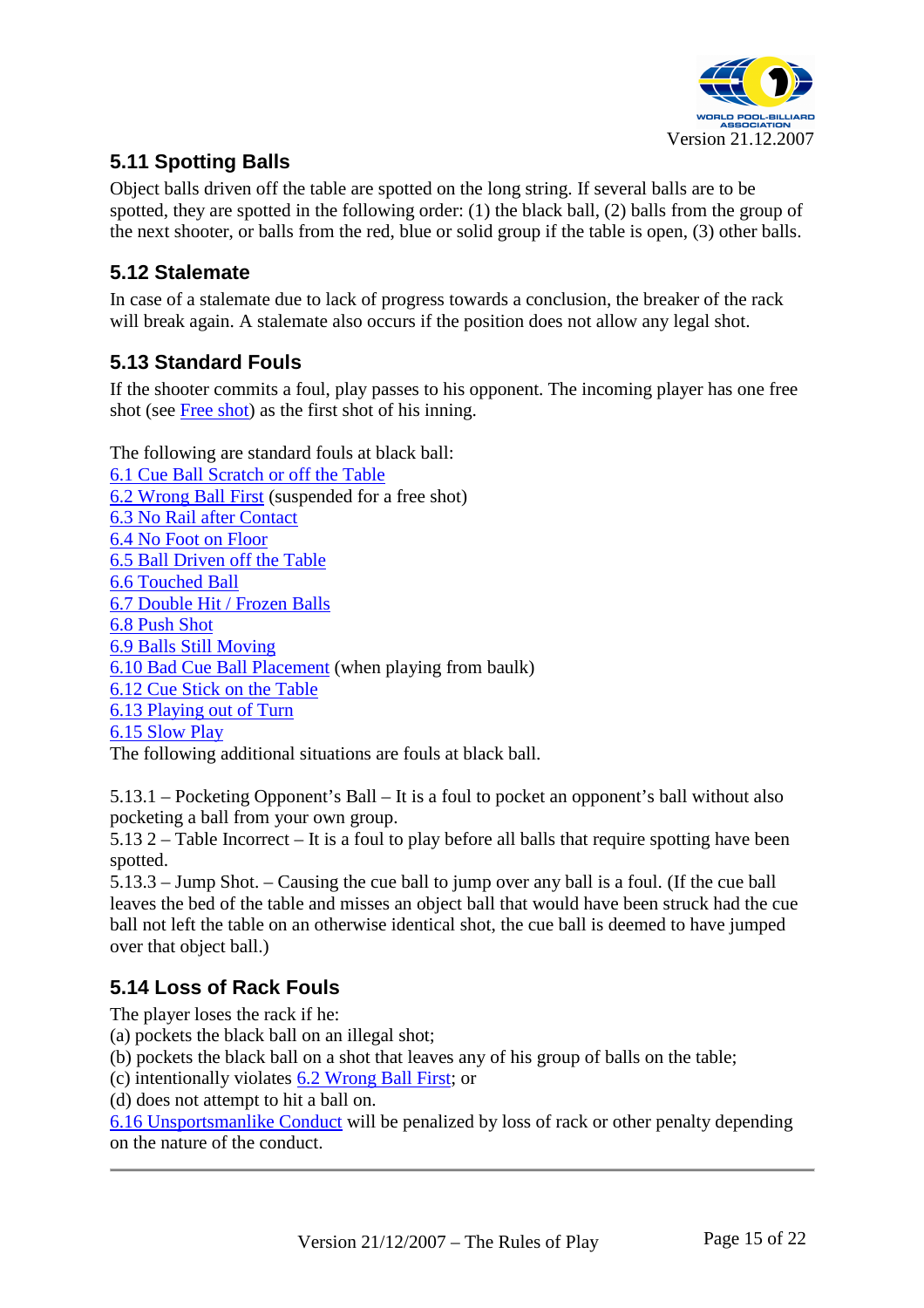

# **5.11 Spotting Balls**

Object balls driven off the table are spotted on the long string. If several balls are to be spotted, they are spotted in the following order: (1) the black ball, (2) balls from the group of the next shooter, or balls from the red, blue or solid group if the table is open, (3) other balls.

### **5.12 Stalemate**

In case of a stalemate due to lack of progress towards a conclusion, the breaker of the rack will break again. A stalemate also occurs if the position does not allow any legal shot.

# **5.13 Standard Fouls**

If the shooter commits a foul, play passes to his opponent. The incoming player has one free shot (see Free shot) as the first shot of his inning.

The following are standard fouls at black ball:

6.1 Cue Ball Scratch or off the Table 6.2 Wrong Ball First (suspended for a free shot) 6.3 No Rail after Contact 6.4 No Foot on Floor 6.5 Ball Driven off the Table 6.6 Touched Ball 6.7 Double Hit / Frozen Balls 6.8 Push Shot 6.9 Balls Still Moving 6.10 Bad Cue Ball Placement (when playing from baulk) 6.12 Cue Stick on the Table 6.13 Playing out of Turn 6.15 Slow Play

The following additional situations are fouls at black ball.

5.13.1 – Pocketing Opponent's Ball – It is a foul to pocket an opponent's ball without also pocketing a ball from your own group.

5.13 2 – Table Incorrect – It is a foul to play before all balls that require spotting have been spotted.

5.13.3 – Jump Shot. – Causing the cue ball to jump over any ball is a foul. (If the cue ball leaves the bed of the table and misses an object ball that would have been struck had the cue ball not left the table on an otherwise identical shot, the cue ball is deemed to have jumped over that object ball.)

# **5.14 Loss of Rack Fouls**

The player loses the rack if he:

(a) pockets the black ball on an illegal shot;

- (b) pockets the black ball on a shot that leaves any of his group of balls on the table;
- (c) intentionally violates 6.2 Wrong Ball First; or

(d) does not attempt to hit a ball on.

6.16 Unsportsmanlike Conduct will be penalized by loss of rack or other penalty depending on the nature of the conduct.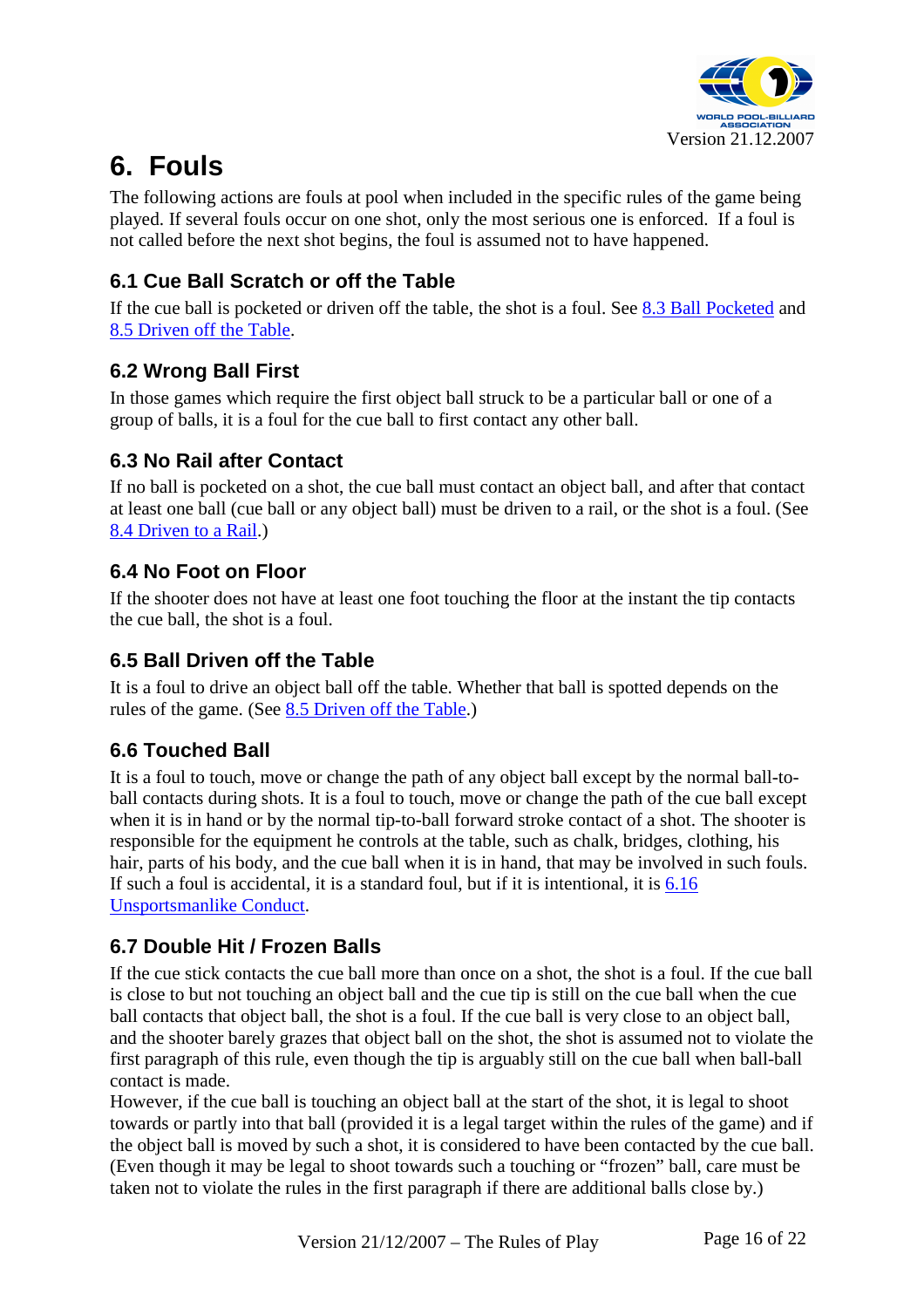

# **6. Fouls**

The following actions are fouls at pool when included in the specific rules of the game being played. If several fouls occur on one shot, only the most serious one is enforced. If a foul is not called before the next shot begins, the foul is assumed not to have happened.

# **6.1 Cue Ball Scratch or off the Table**

If the cue ball is pocketed or driven off the table, the shot is a foul. See 8.3 Ball Pocketed and 8.5 Driven off the Table.

### **6.2 Wrong Ball First**

In those games which require the first object ball struck to be a particular ball or one of a group of balls, it is a foul for the cue ball to first contact any other ball.

### **6.3 No Rail after Contact**

If no ball is pocketed on a shot, the cue ball must contact an object ball, and after that contact at least one ball (cue ball or any object ball) must be driven to a rail, or the shot is a foul. (See 8.4 Driven to a Rail.)

### **6.4 No Foot on Floor**

If the shooter does not have at least one foot touching the floor at the instant the tip contacts the cue ball, the shot is a foul.

# **6.5 Ball Driven off the Table**

It is a foul to drive an object ball off the table. Whether that ball is spotted depends on the rules of the game. (See 8.5 Driven off the Table.)

# **6.6 Touched Ball**

It is a foul to touch, move or change the path of any object ball except by the normal ball-toball contacts during shots. It is a foul to touch, move or change the path of the cue ball except when it is in hand or by the normal tip-to-ball forward stroke contact of a shot. The shooter is responsible for the equipment he controls at the table, such as chalk, bridges, clothing, his hair, parts of his body, and the cue ball when it is in hand, that may be involved in such fouls. If such a foul is accidental, it is a standard foul, but if it is intentional, it is 6.16 Unsportsmanlike Conduct.

### **6.7 Double Hit / Frozen Balls**

If the cue stick contacts the cue ball more than once on a shot, the shot is a foul. If the cue ball is close to but not touching an object ball and the cue tip is still on the cue ball when the cue ball contacts that object ball, the shot is a foul. If the cue ball is very close to an object ball, and the shooter barely grazes that object ball on the shot, the shot is assumed not to violate the first paragraph of this rule, even though the tip is arguably still on the cue ball when ball-ball contact is made.

However, if the cue ball is touching an object ball at the start of the shot, it is legal to shoot towards or partly into that ball (provided it is a legal target within the rules of the game) and if the object ball is moved by such a shot, it is considered to have been contacted by the cue ball. (Even though it may be legal to shoot towards such a touching or "frozen" ball, care must be taken not to violate the rules in the first paragraph if there are additional balls close by.)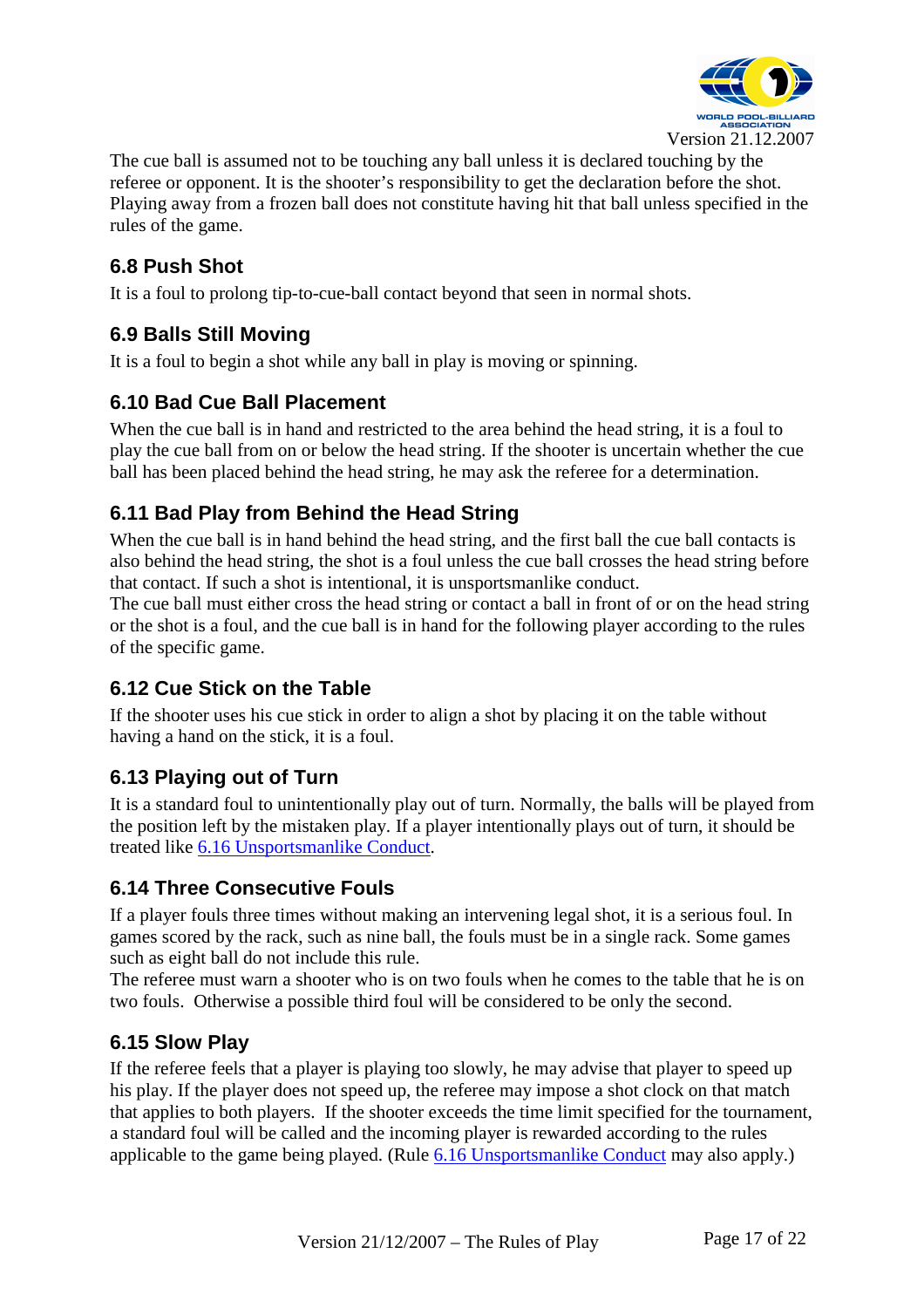

The cue ball is assumed not to be touching any ball unless it is declared touching by the referee or opponent. It is the shooter's responsibility to get the declaration before the shot. Playing away from a frozen ball does not constitute having hit that ball unless specified in the rules of the game.

### **6.8 Push Shot**

It is a foul to prolong tip-to-cue-ball contact beyond that seen in normal shots.

# **6.9 Balls Still Moving**

It is a foul to begin a shot while any ball in play is moving or spinning.

### **6.10 Bad Cue Ball Placement**

When the cue ball is in hand and restricted to the area behind the head string, it is a foul to play the cue ball from on or below the head string. If the shooter is uncertain whether the cue ball has been placed behind the head string, he may ask the referee for a determination.

# **6.11 Bad Play from Behind the Head String**

When the cue ball is in hand behind the head string, and the first ball the cue ball contacts is also behind the head string, the shot is a foul unless the cue ball crosses the head string before that contact. If such a shot is intentional, it is unsportsmanlike conduct.

The cue ball must either cross the head string or contact a ball in front of or on the head string or the shot is a foul, and the cue ball is in hand for the following player according to the rules of the specific game.

### **6.12 Cue Stick on the Table**

If the shooter uses his cue stick in order to align a shot by placing it on the table without having a hand on the stick, it is a foul.

### **6.13 Playing out of Turn**

It is a standard foul to unintentionally play out of turn. Normally, the balls will be played from the position left by the mistaken play. If a player intentionally plays out of turn, it should be treated like 6.16 Unsportsmanlike Conduct.

### **6.14 Three Consecutive Fouls**

If a player fouls three times without making an intervening legal shot, it is a serious foul. In games scored by the rack, such as nine ball, the fouls must be in a single rack. Some games such as eight ball do not include this rule.

The referee must warn a shooter who is on two fouls when he comes to the table that he is on two fouls. Otherwise a possible third foul will be considered to be only the second.

### **6.15 Slow Play**

If the referee feels that a player is playing too slowly, he may advise that player to speed up his play. If the player does not speed up, the referee may impose a shot clock on that match that applies to both players. If the shooter exceeds the time limit specified for the tournament, a standard foul will be called and the incoming player is rewarded according to the rules applicable to the game being played. (Rule 6.16 Unsportsmanlike Conduct may also apply.)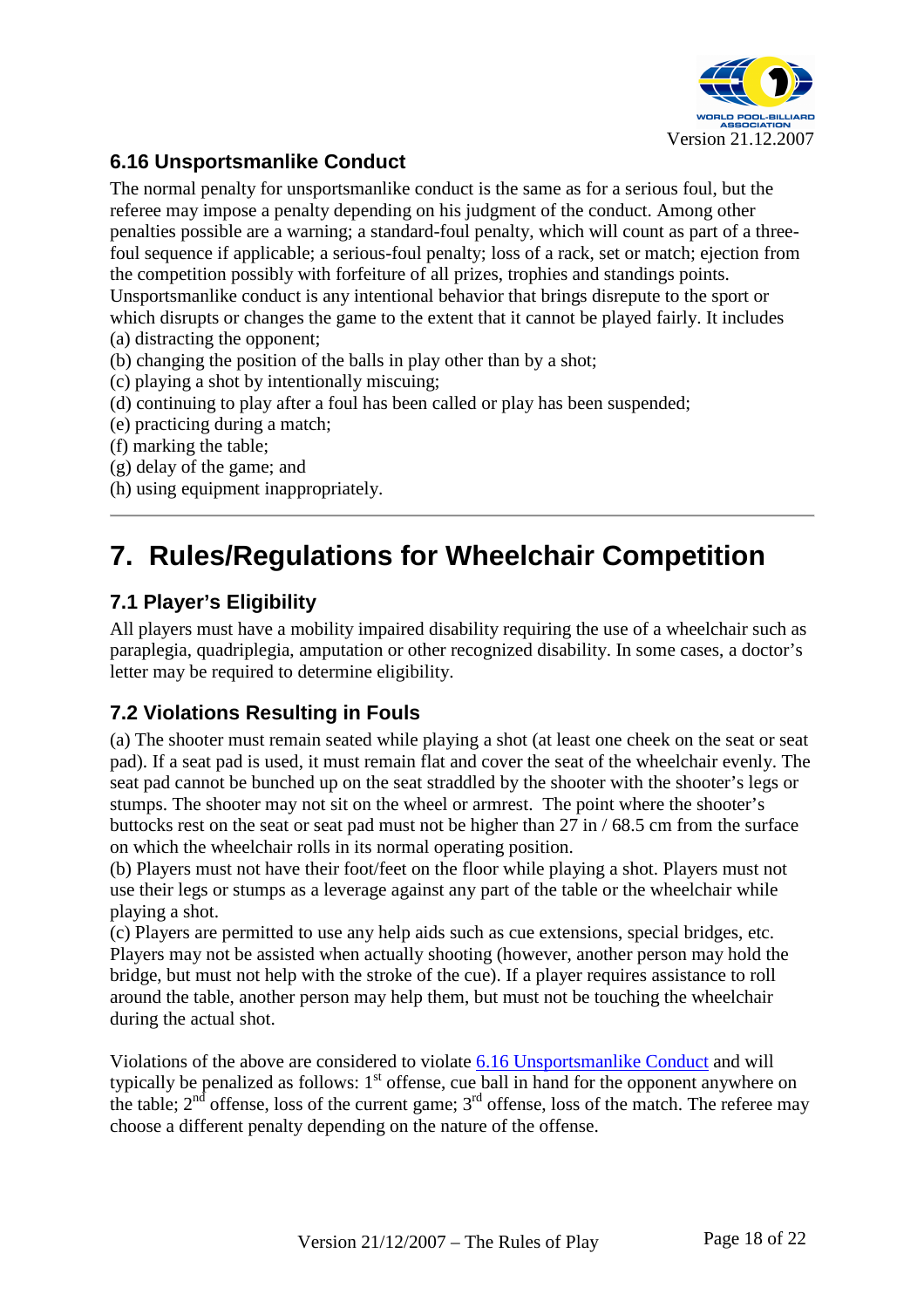

# **6.16 Unsportsmanlike Conduct**

The normal penalty for unsportsmanlike conduct is the same as for a serious foul, but the referee may impose a penalty depending on his judgment of the conduct. Among other penalties possible are a warning; a standard-foul penalty, which will count as part of a threefoul sequence if applicable; a serious-foul penalty; loss of a rack, set or match; ejection from the competition possibly with forfeiture of all prizes, trophies and standings points. Unsportsmanlike conduct is any intentional behavior that brings disrepute to the sport or which disrupts or changes the game to the extent that it cannot be played fairly. It includes

- (a) distracting the opponent;
- (b) changing the position of the balls in play other than by a shot;
- (c) playing a shot by intentionally miscuing;
- (d) continuing to play after a foul has been called or play has been suspended;
- (e) practicing during a match;
- (f) marking the table;
- (g) delay of the game; and
- (h) using equipment inappropriately.

# **7. Rules/Regulations for Wheelchair Competition**

# **7.1 Player's Eligibility**

All players must have a mobility impaired disability requiring the use of a wheelchair such as paraplegia, quadriplegia, amputation or other recognized disability. In some cases, a doctor's letter may be required to determine eligibility.

# **7.2 Violations Resulting in Fouls**

(a) The shooter must remain seated while playing a shot (at least one cheek on the seat or seat pad). If a seat pad is used, it must remain flat and cover the seat of the wheelchair evenly. The seat pad cannot be bunched up on the seat straddled by the shooter with the shooter's legs or stumps. The shooter may not sit on the wheel or armrest. The point where the shooter's buttocks rest on the seat or seat pad must not be higher than 27 in / 68.5 cm from the surface on which the wheelchair rolls in its normal operating position.

(b) Players must not have their foot/feet on the floor while playing a shot. Players must not use their legs or stumps as a leverage against any part of the table or the wheelchair while playing a shot.

(c) Players are permitted to use any help aids such as cue extensions, special bridges, etc. Players may not be assisted when actually shooting (however, another person may hold the bridge, but must not help with the stroke of the cue). If a player requires assistance to roll around the table, another person may help them, but must not be touching the wheelchair during the actual shot.

Violations of the above are considered to violate 6.16 Unsportsmanlike Conduct and will typically be penalized as follows:  $1<sup>st</sup>$  offense, cue ball in hand for the opponent anywhere on the table;  $2<sup>nd</sup>$  offense, loss of the current game;  $3<sup>rd</sup>$  offense, loss of the match. The referee may choose a different penalty depending on the nature of the offense.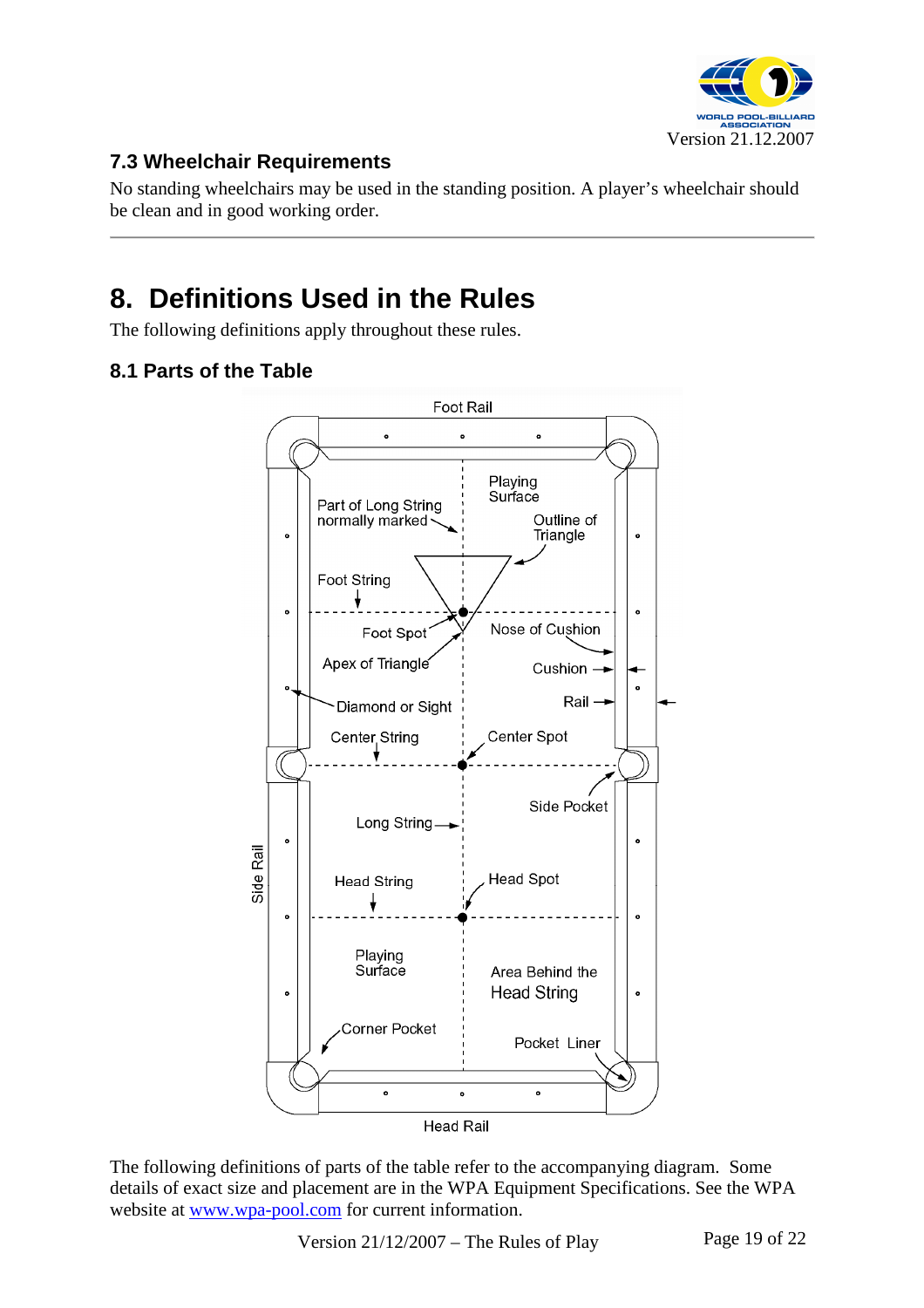

# **7.3 Wheelchair Requirements**

No standing wheelchairs may be used in the standing position. A player's wheelchair should be clean and in good working order.

# **8. Definitions Used in the Rules**

The following definitions apply throughout these rules.

### **8.1 Parts of the Table**



The following definitions of parts of the table refer to the accompanying diagram. Some details of exact size and placement are in the WPA Equipment Specifications. See the WPA website at www.wpa-pool.com for current information.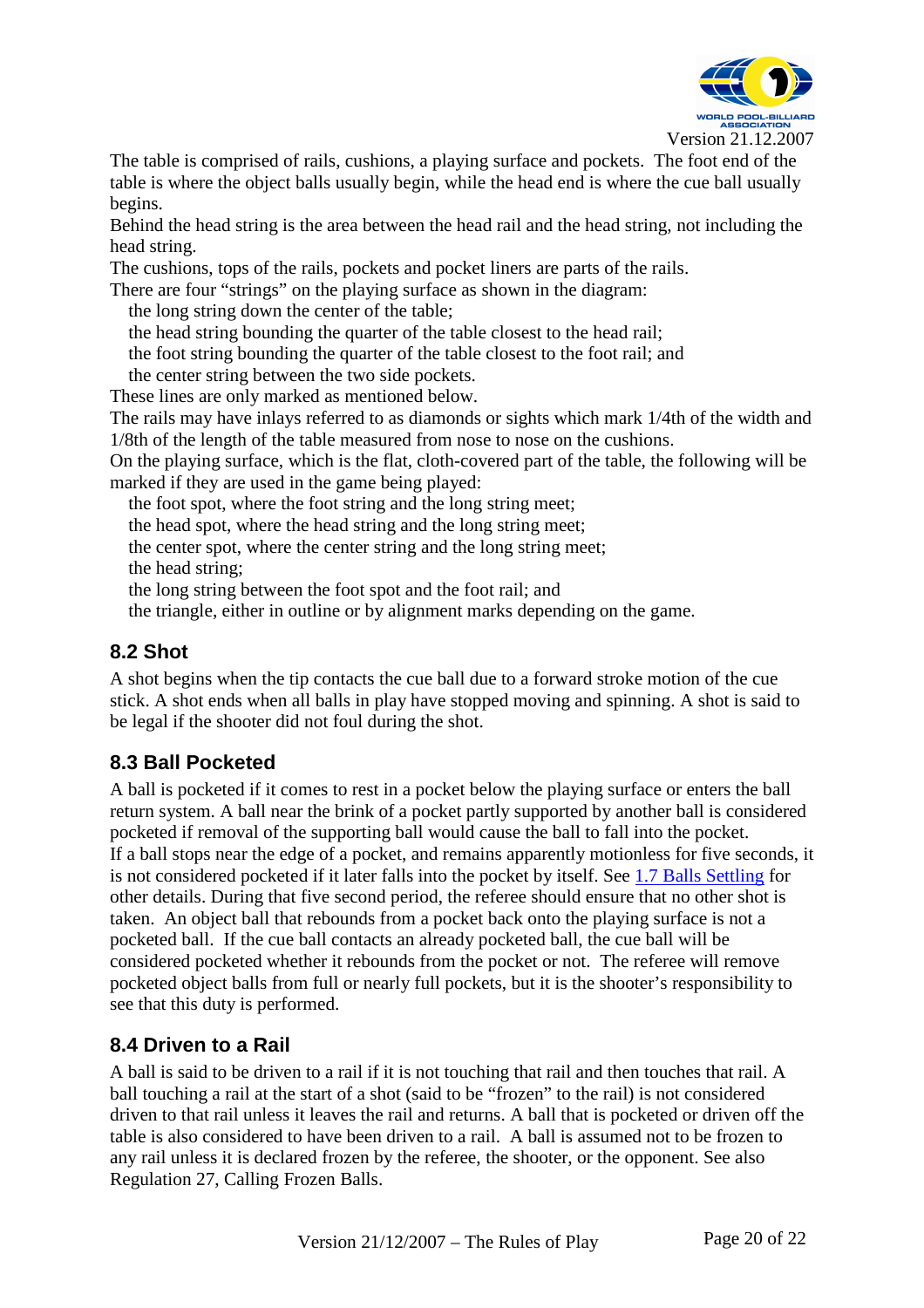

The table is comprised of rails, cushions, a playing surface and pockets. The foot end of the table is where the object balls usually begin, while the head end is where the cue ball usually begins.

Behind the head string is the area between the head rail and the head string, not including the head string.

The cushions, tops of the rails, pockets and pocket liners are parts of the rails.

There are four "strings" on the playing surface as shown in the diagram:

the long string down the center of the table;

the head string bounding the quarter of the table closest to the head rail;

the foot string bounding the quarter of the table closest to the foot rail; and

the center string between the two side pockets.

These lines are only marked as mentioned below.

The rails may have inlays referred to as diamonds or sights which mark 1/4th of the width and 1/8th of the length of the table measured from nose to nose on the cushions.

On the playing surface, which is the flat, cloth-covered part of the table, the following will be marked if they are used in the game being played:

the foot spot, where the foot string and the long string meet;

the head spot, where the head string and the long string meet;

 the center spot, where the center string and the long string meet; the head string;

the long string between the foot spot and the foot rail; and

the triangle, either in outline or by alignment marks depending on the game.

#### **8.2 Shot**

A shot begins when the tip contacts the cue ball due to a forward stroke motion of the cue stick. A shot ends when all balls in play have stopped moving and spinning. A shot is said to be legal if the shooter did not foul during the shot.

#### **8.3 Ball Pocketed**

A ball is pocketed if it comes to rest in a pocket below the playing surface or enters the ball return system. A ball near the brink of a pocket partly supported by another ball is considered pocketed if removal of the supporting ball would cause the ball to fall into the pocket. If a ball stops near the edge of a pocket, and remains apparently motionless for five seconds, it is not considered pocketed if it later falls into the pocket by itself. See 1.7 Balls Settling for other details. During that five second period, the referee should ensure that no other shot is taken. An object ball that rebounds from a pocket back onto the playing surface is not a pocketed ball. If the cue ball contacts an already pocketed ball, the cue ball will be considered pocketed whether it rebounds from the pocket or not. The referee will remove pocketed object balls from full or nearly full pockets, but it is the shooter's responsibility to see that this duty is performed.

### **8.4 Driven to a Rail**

A ball is said to be driven to a rail if it is not touching that rail and then touches that rail. A ball touching a rail at the start of a shot (said to be "frozen" to the rail) is not considered driven to that rail unless it leaves the rail and returns. A ball that is pocketed or driven off the table is also considered to have been driven to a rail. A ball is assumed not to be frozen to any rail unless it is declared frozen by the referee, the shooter, or the opponent. See also Regulation 27, Calling Frozen Balls.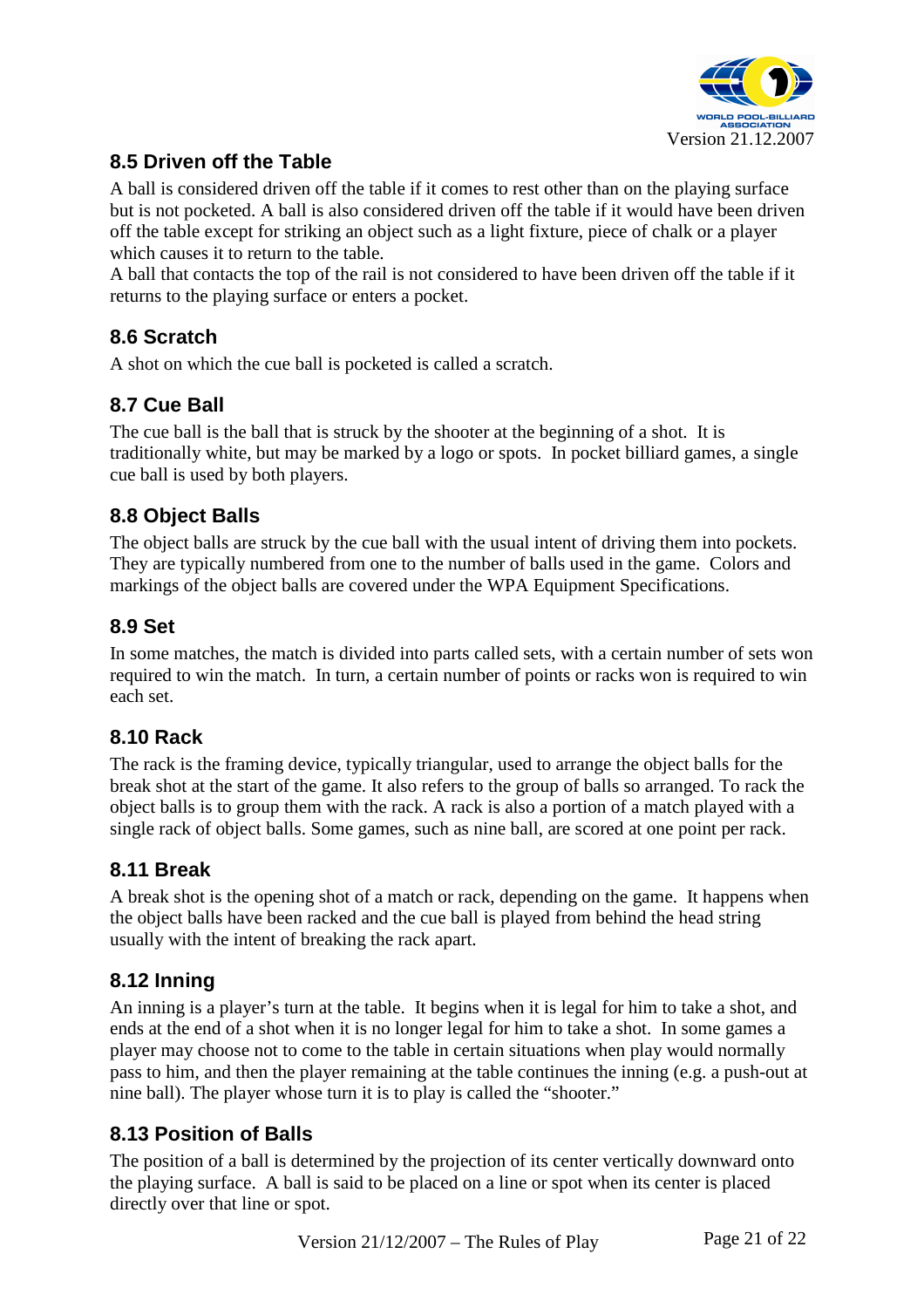

# **8.5 Driven off the Table**

A ball is considered driven off the table if it comes to rest other than on the playing surface but is not pocketed. A ball is also considered driven off the table if it would have been driven off the table except for striking an object such as a light fixture, piece of chalk or a player which causes it to return to the table.

A ball that contacts the top of the rail is not considered to have been driven off the table if it returns to the playing surface or enters a pocket.

# **8.6 Scratch**

A shot on which the cue ball is pocketed is called a scratch.

# **8.7 Cue Ball**

The cue ball is the ball that is struck by the shooter at the beginning of a shot. It is traditionally white, but may be marked by a logo or spots. In pocket billiard games, a single cue ball is used by both players.

### **8.8 Object Balls**

The object balls are struck by the cue ball with the usual intent of driving them into pockets. They are typically numbered from one to the number of balls used in the game. Colors and markings of the object balls are covered under the WPA Equipment Specifications.

### **8.9 Set**

In some matches, the match is divided into parts called sets, with a certain number of sets won required to win the match. In turn, a certain number of points or racks won is required to win each set.

### **8.10 Rack**

The rack is the framing device, typically triangular, used to arrange the object balls for the break shot at the start of the game. It also refers to the group of balls so arranged. To rack the object balls is to group them with the rack. A rack is also a portion of a match played with a single rack of object balls. Some games, such as nine ball, are scored at one point per rack.

### **8.11 Break**

A break shot is the opening shot of a match or rack, depending on the game. It happens when the object balls have been racked and the cue ball is played from behind the head string usually with the intent of breaking the rack apart.

### **8.12 Inning**

An inning is a player's turn at the table. It begins when it is legal for him to take a shot, and ends at the end of a shot when it is no longer legal for him to take a shot. In some games a player may choose not to come to the table in certain situations when play would normally pass to him, and then the player remaining at the table continues the inning (e.g. a push-out at nine ball). The player whose turn it is to play is called the "shooter."

### **8.13 Position of Balls**

The position of a ball is determined by the projection of its center vertically downward onto the playing surface. A ball is said to be placed on a line or spot when its center is placed directly over that line or spot.